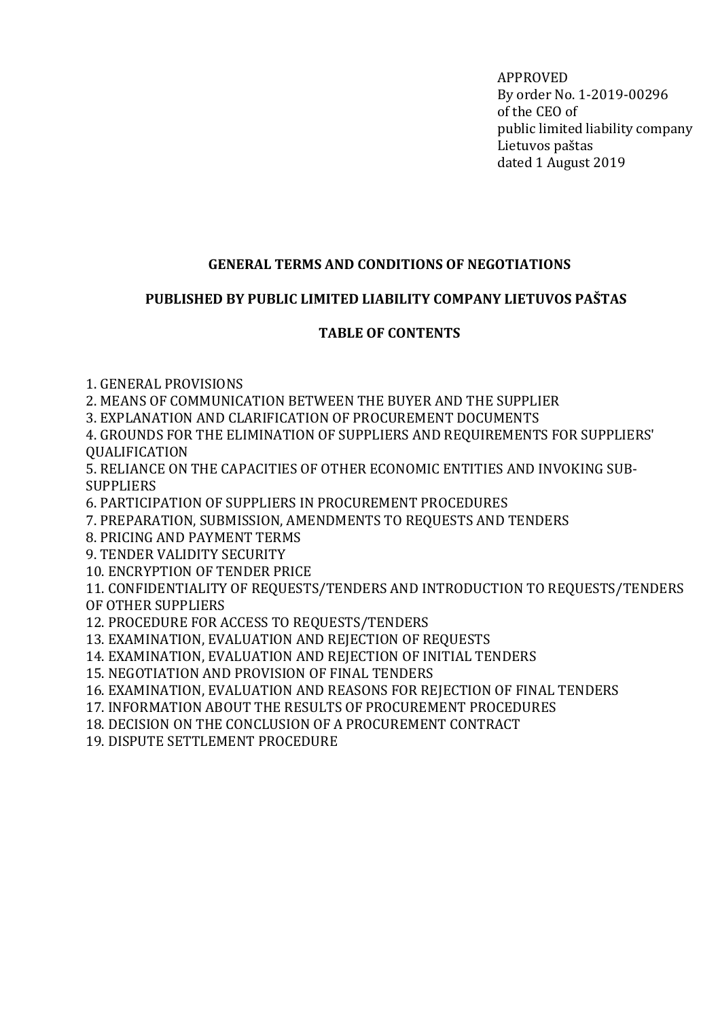APPROVED By order No. 1-2019-00296 of the CEO of public limited liability company Lietuvos paštas dated 1 August 2019

# GENERAL TERMS AND CONDITIONS OF NEGOTIATIONS

## PUBLISHED BY PUBLIC LIMITED LIABILITY COMPANY LIETUVOS PAŠTAS

# TABLE OF CONTENTS

1. GENERAL PROVISIONS

2. MEANS OF COMMUNICATION BETWEEN THE BUYER AND THE SUPPLIER

3. EXPLANATION AND CLARIFICATION OF PROCUREMENT DOCUMENTS

4. GROUNDS FOR THE ELIMINATION OF SUPPLIERS AND REQUIREMENTS FOR SUPPLIERS' **OUALIFICATION** 

5. RELIANCE ON THE CAPACITIES OF OTHER ECONOMIC ENTITIES AND INVOKING SUB-**SUPPLIERS** 

6. PARTICIPATION OF SUPPLIERS IN PROCUREMENT PROCEDURES

7. PREPARATION, SUBMISSION, AMENDMENTS TO REQUESTS AND TENDERS

8. PRICING AND PAYMENT TERMS

9. TENDER VALIDITY SECURITY

10. ENCRYPTION OF TENDER PRICE

11. CONFIDENTIALITY OF REQUESTS/TENDERS AND INTRODUCTION TO REQUESTS/TENDERS OF OTHER SUPPLIERS

12. PROCEDURE FOR ACCESS TO REQUESTS/TENDERS

13. EXAMINATION, EVALUATION AND REJECTION OF REQUESTS

14. EXAMINATION, EVALUATION AND REJECTION OF INITIAL TENDERS

15. NEGOTIATION AND PROVISION OF FINAL TENDERS

16. EXAMINATION, EVALUATION AND REASONS FOR REJECTION OF FINAL TENDERS

17. INFORMATION ABOUT THE RESULTS OF PROCUREMENT PROCEDURES

18. DECISION ON THE CONCLUSION OF A PROCUREMENT CONTRACT

19. DISPUTE SETTLEMENT PROCEDURE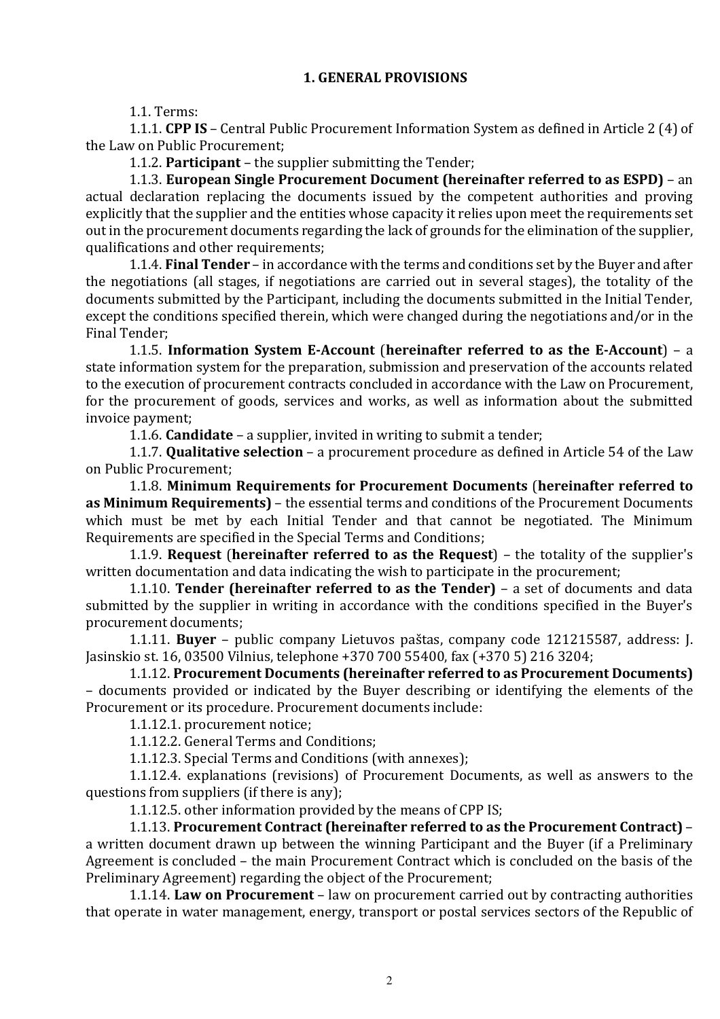#### 1. GENERAL PROVISIONS

1.1. Terms:

1.1.1. CPP IS – Central Public Procurement Information System as defined in Article 2 (4) of the Law on Public Procurement;

1.1.2. Participant – the supplier submitting the Tender;

1.1.3. European Single Procurement Document (hereinafter referred to as ESPD) – an actual declaration replacing the documents issued by the competent authorities and proving explicitly that the supplier and the entities whose capacity it relies upon meet the requirements set out in the procurement documents regarding the lack of grounds for the elimination of the supplier, qualifications and other requirements;

1.1.4. Final Tender – in accordance with the terms and conditions set by the Buyer and after the negotiations (all stages, if negotiations are carried out in several stages), the totality of the documents submitted by the Participant, including the documents submitted in the Initial Tender, except the conditions specified therein, which were changed during the negotiations and/or in the Final Tender;

1.1.5. Information System E-Account (hereinafter referred to as the E-Account) – a state information system for the preparation, submission and preservation of the accounts related to the execution of procurement contracts concluded in accordance with the Law on Procurement, for the procurement of goods, services and works, as well as information about the submitted invoice payment;

1.1.6. Candidate – a supplier, invited in writing to submit a tender;

1.1.7. Qualitative selection – a procurement procedure as defined in Article 54 of the Law on Public Procurement;

1.1.8. Minimum Requirements for Procurement Documents (hereinafter referred to as Minimum Requirements) – the essential terms and conditions of the Procurement Documents which must be met by each Initial Tender and that cannot be negotiated. The Minimum Requirements are specified in the Special Terms and Conditions;

1.1.9. Request (hereinafter referred to as the Request) – the totality of the supplier's written documentation and data indicating the wish to participate in the procurement;

1.1.10. Tender (hereinafter referred to as the Tender) – a set of documents and data submitted by the supplier in writing in accordance with the conditions specified in the Buyer's procurement documents;

1.1.11. Buyer – public company Lietuvos paštas, company code 121215587, address: J. Jasinskio st. 16, 03500 Vilnius, telephone +370 700 55400, fax (+370 5) 216 3204;

1.1.12. Procurement Documents (hereinafter referred to as Procurement Documents) – documents provided or indicated by the Buyer describing or identifying the elements of the Procurement or its procedure. Procurement documents include:

1.1.12.1. procurement notice;

1.1.12.2. General Terms and Conditions;

1.1.12.3. Special Terms and Conditions (with annexes);

1.1.12.4. explanations (revisions) of Procurement Documents, as well as answers to the questions from suppliers (if there is any);

1.1.12.5. other information provided by the means of CPP IS;

1.1.13. Procurement Contract (hereinafter referred to as the Procurement Contract) – a written document drawn up between the winning Participant and the Buyer (if a Preliminary Agreement is concluded – the main Procurement Contract which is concluded on the basis of the Preliminary Agreement) regarding the object of the Procurement;

1.1.14. Law on Procurement – law on procurement carried out by contracting authorities that operate in water management, energy, transport or postal services sectors of the Republic of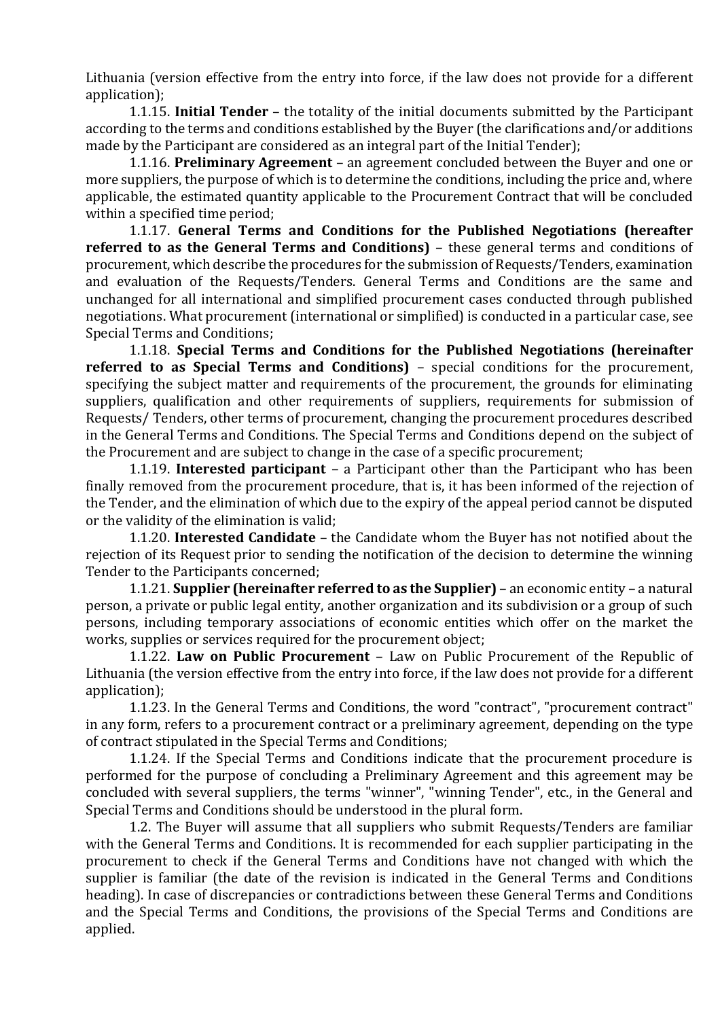Lithuania (version effective from the entry into force, if the law does not provide for a different application);

1.1.15. Initial Tender – the totality of the initial documents submitted by the Participant according to the terms and conditions established by the Buyer (the clarifications and/or additions made by the Participant are considered as an integral part of the Initial Tender);

1.1.16. Preliminary Agreement – an agreement concluded between the Buyer and one or more suppliers, the purpose of which is to determine the conditions, including the price and, where applicable, the estimated quantity applicable to the Procurement Contract that will be concluded within a specified time period;

1.1.17. General Terms and Conditions for the Published Negotiations (hereafter referred to as the General Terms and Conditions) – these general terms and conditions of procurement, which describe the procedures for the submission of Requests/Tenders, examination and evaluation of the Requests/Tenders. General Terms and Conditions are the same and unchanged for all international and simplified procurement cases conducted through published negotiations. What procurement (international or simplified) is conducted in a particular case, see Special Terms and Conditions;

1.1.18. Special Terms and Conditions for the Published Negotiations (hereinafter referred to as Special Terms and Conditions) – special conditions for the procurement, specifying the subject matter and requirements of the procurement, the grounds for eliminating suppliers, qualification and other requirements of suppliers, requirements for submission of Requests/ Tenders, other terms of procurement, changing the procurement procedures described in the General Terms and Conditions. The Special Terms and Conditions depend on the subject of the Procurement and are subject to change in the case of a specific procurement;

1.1.19. Interested participant – a Participant other than the Participant who has been finally removed from the procurement procedure, that is, it has been informed of the rejection of the Tender, and the elimination of which due to the expiry of the appeal period cannot be disputed or the validity of the elimination is valid;

1.1.20. Interested Candidate – the Candidate whom the Buyer has not notified about the rejection of its Request prior to sending the notification of the decision to determine the winning Tender to the Participants concerned;

1.1.21. Supplier (hereinafter referred to as the Supplier) – an economic entity – a natural person, a private or public legal entity, another organization and its subdivision or a group of such persons, including temporary associations of economic entities which offer on the market the works, supplies or services required for the procurement object;

1.1.22. Law on Public Procurement – Law on Public Procurement of the Republic of Lithuania (the version effective from the entry into force, if the law does not provide for a different application);

1.1.23. In the General Terms and Conditions, the word "contract", "procurement contract" in any form, refers to a procurement contract or a preliminary agreement, depending on the type of contract stipulated in the Special Terms and Conditions;

1.1.24. If the Special Terms and Conditions indicate that the procurement procedure is performed for the purpose of concluding a Preliminary Agreement and this agreement may be concluded with several suppliers, the terms "winner", "winning Tender", etc., in the General and Special Terms and Conditions should be understood in the plural form.

1.2. The Buyer will assume that all suppliers who submit Requests/Tenders are familiar with the General Terms and Conditions. It is recommended for each supplier participating in the procurement to check if the General Terms and Conditions have not changed with which the supplier is familiar (the date of the revision is indicated in the General Terms and Conditions heading). In case of discrepancies or contradictions between these General Terms and Conditions and the Special Terms and Conditions, the provisions of the Special Terms and Conditions are applied.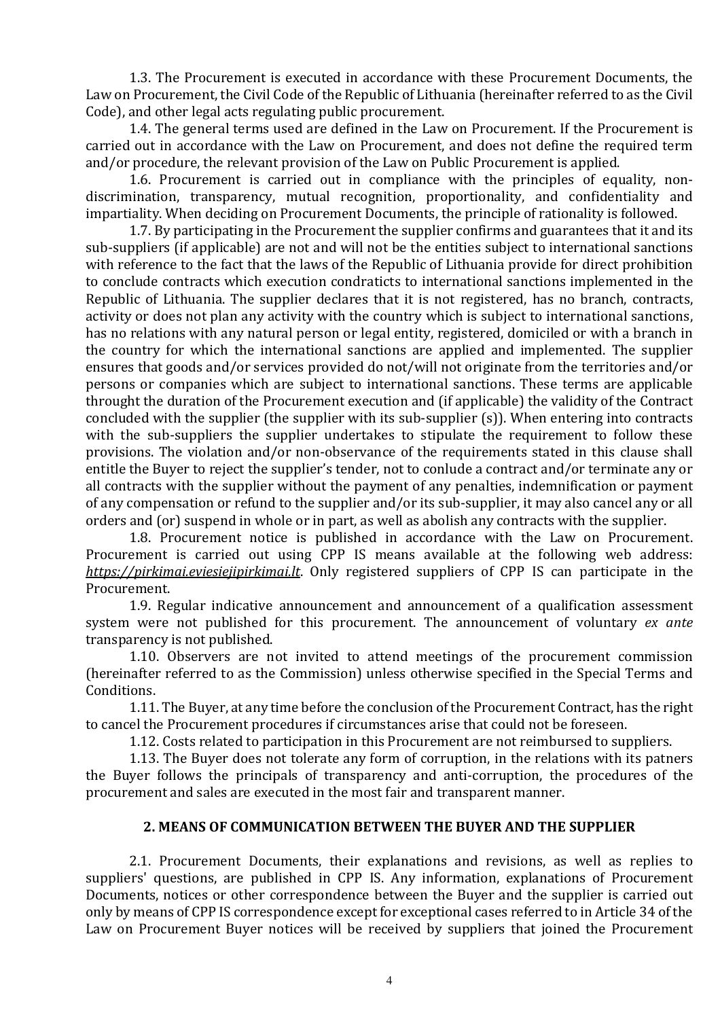1.3. The Procurement is executed in accordance with these Procurement Documents, the Law on Procurement, the Civil Code of the Republic of Lithuania (hereinafter referred to as the Civil Code), and other legal acts regulating public procurement.

1.4. The general terms used are defined in the Law on Procurement. If the Procurement is carried out in accordance with the Law on Procurement, and does not define the required term and/or procedure, the relevant provision of the Law on Public Procurement is applied.

1.6. Procurement is carried out in compliance with the principles of equality, nondiscrimination, transparency, mutual recognition, proportionality, and confidentiality and impartiality. When deciding on Procurement Documents, the principle of rationality is followed.

1.7. By participating in the Procurement the supplier confirms and guarantees that it and its sub-suppliers (if applicable) are not and will not be the entities subject to international sanctions with reference to the fact that the laws of the Republic of Lithuania provide for direct prohibition to conclude contracts which execution condraticts to international sanctions implemented in the Republic of Lithuania. The supplier declares that it is not registered, has no branch, contracts, activity or does not plan any activity with the country which is subject to international sanctions, has no relations with any natural person or legal entity, registered, domiciled or with a branch in the country for which the international sanctions are applied and implemented. The supplier ensures that goods and/or services provided do not/will not originate from the territories and/or persons or companies which are subject to international sanctions. These terms are applicable throught the duration of the Procurement execution and (if applicable) the validity of the Contract concluded with the supplier (the supplier with its sub-supplier (s)). When entering into contracts with the sub-suppliers the supplier undertakes to stipulate the requirement to follow these provisions. The violation and/or non-observance of the requirements stated in this clause shall entitle the Buyer to reject the supplier's tender, not to conlude a contract and/or terminate any or all contracts with the supplier without the payment of any penalties, indemnification or payment of any compensation or refund to the supplier and/or its sub-supplier, it may also cancel any or all orders and (or) suspend in whole or in part, as well as abolish any contracts with the supplier.

1.8. Procurement notice is published in accordance with the Law on Procurement. Procurement is carried out using CPP IS means available at the following web address: https://pirkimai.eviesiejipirkimai.lt. Only registered suppliers of CPP IS can participate in the Procurement.

1.9. Regular indicative announcement and announcement of a qualification assessment system were not published for this procurement. The announcement of voluntary ex ante transparency is not published.

1.10. Observers are not invited to attend meetings of the procurement commission (hereinafter referred to as the Commission) unless otherwise specified in the Special Terms and Conditions.

1.11. The Buyer, at any time before the conclusion of the Procurement Contract, has the right to cancel the Procurement procedures if circumstances arise that could not be foreseen.

1.12. Costs related to participation in this Procurement are not reimbursed to suppliers.

1.13. The Buyer does not tolerate any form of corruption, in the relations with its patners the Buyer follows the principals of transparency and anti-corruption, the procedures of the procurement and sales are executed in the most fair and transparent manner.

#### 2. MEANS OF COMMUNICATION BETWEEN THE BUYER AND THE SUPPLIER

2.1. Procurement Documents, their explanations and revisions, as well as replies to suppliers' questions, are published in CPP IS. Any information, explanations of Procurement Documents, notices or other correspondence between the Buyer and the supplier is carried out only by means of CPP IS correspondence except for exceptional cases referred to in Article 34 of the Law on Procurement Buyer notices will be received by suppliers that joined the Procurement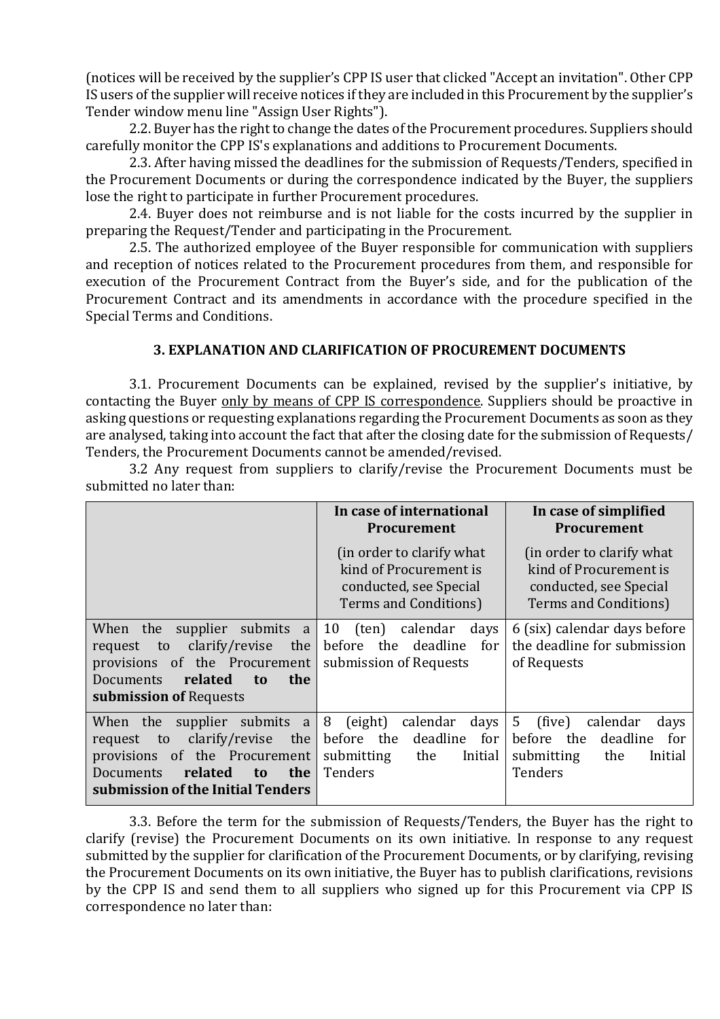(notices will be received by the supplier's CPP IS user that clicked "Accept an invitation". Other CPP IS users of the supplier will receive notices if they are included in this Procurement by the supplier's Tender window menu line "Assign User Rights").

2.2. Buyer has the right to change the dates of the Procurement procedures. Suppliers should carefully monitor the CPP IS's explanations and additions to Procurement Documents.

2.3. After having missed the deadlines for the submission of Requests/Tenders, specified in the Procurement Documents or during the correspondence indicated by the Buyer, the suppliers lose the right to participate in further Procurement procedures.

2.4. Buyer does not reimburse and is not liable for the costs incurred by the supplier in preparing the Request/Tender and participating in the Procurement.

2.5. The authorized employee of the Buyer responsible for communication with suppliers and reception of notices related to the Procurement procedures from them, and responsible for execution of the Procurement Contract from the Buyer's side, and for the publication of the Procurement Contract and its amendments in accordance with the procedure specified in the Special Terms and Conditions.

## 3. EXPLANATION AND CLARIFICATION OF PROCUREMENT DOCUMENTS

3.1. Procurement Documents can be explained, revised by the supplier's initiative, by contacting the Buyer only by means of CPP IS correspondence. Suppliers should be proactive in asking questions or requesting explanations regarding the Procurement Documents as soon as they are analysed, taking into account the fact that after the closing date for the submission of Requests/ Tenders, the Procurement Documents cannot be amended/revised.

|                                                                                                                                                                                                | In case of international<br><b>Procurement</b>                                                                   | In case of simplified<br><b>Procurement</b>                                                                    |
|------------------------------------------------------------------------------------------------------------------------------------------------------------------------------------------------|------------------------------------------------------------------------------------------------------------------|----------------------------------------------------------------------------------------------------------------|
|                                                                                                                                                                                                | (in order to clarify what<br>kind of Procurement is<br>conducted, see Special<br>Terms and Conditions)           | (in order to clarify what)<br>kind of Procurement is<br>conducted, see Special<br>Terms and Conditions)        |
| When the<br>supplier submits a<br>clarify/revise<br>the<br>to<br>request<br>of the Procurement<br>provisions<br>related<br>the<br>Documents<br>to.<br>submission of Requests                   | 10<br>(ten)<br>calendar<br>days<br>before<br>the deadline<br>for<br>submission of Requests                       | 6 (six) calendar days before<br>the deadline for submission<br>of Requests                                     |
| supplier submits a<br>When the<br>clarify/revise<br>the<br>to<br>request<br>of the Procurement<br>provisions<br>related<br>the<br><b>Documents</b><br>to.<br>submission of the Initial Tenders | 8<br>(eight)<br>calendar<br>days<br>before the deadline<br>for<br>submitting<br>the<br>Initial<br><b>Tenders</b> | 5<br>(five)<br>calendar<br>days<br>before<br>the<br>deadline<br>for<br>the<br>submitting<br>Initial<br>Tenders |

3.2 Any request from suppliers to clarify/revise the Procurement Documents must be submitted no later than:

3.3. Before the term for the submission of Requests/Tenders, the Buyer has the right to clarify (revise) the Procurement Documents on its own initiative. In response to any request submitted by the supplier for clarification of the Procurement Documents, or by clarifying, revising the Procurement Documents on its own initiative, the Buyer has to publish clarifications, revisions by the CPP IS and send them to all suppliers who signed up for this Procurement via CPP IS correspondence no later than: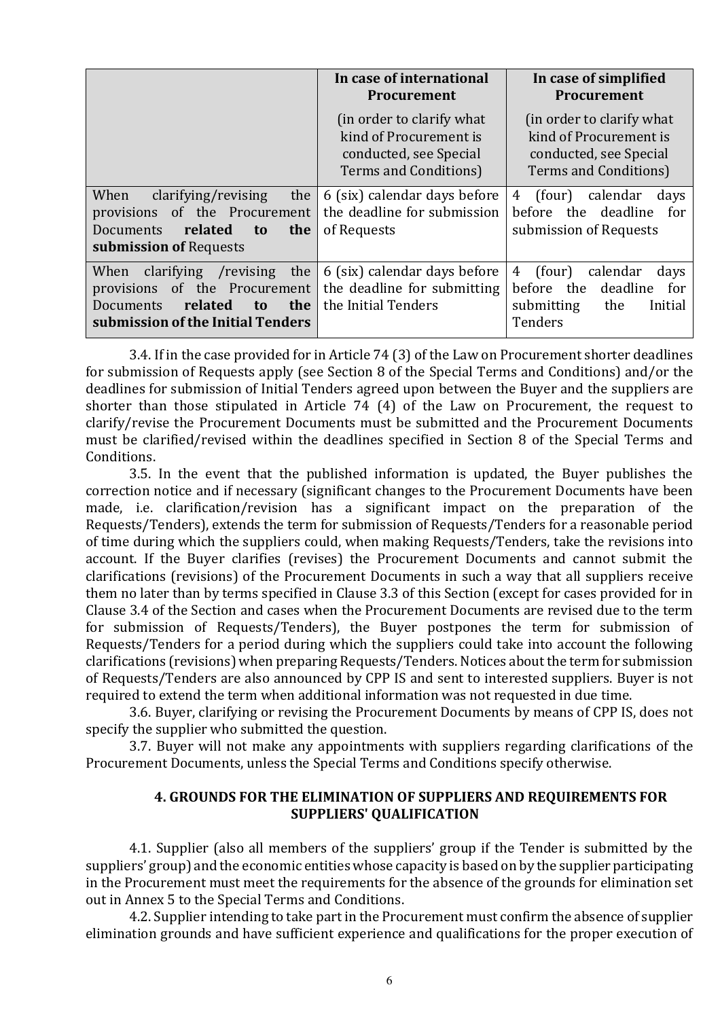|                                                                                                                                                           | In case of international<br><b>Procurement</b>                                                          | In case of simplified<br>Procurement                                                                        |
|-----------------------------------------------------------------------------------------------------------------------------------------------------------|---------------------------------------------------------------------------------------------------------|-------------------------------------------------------------------------------------------------------------|
|                                                                                                                                                           | (in order to clarify what)<br>kind of Procurement is<br>conducted, see Special<br>Terms and Conditions) | (in order to clarify what)<br>kind of Procurement is<br>conducted, see Special<br>Terms and Conditions)     |
| When<br>clarifying/revising<br>the<br>provisions of the Procurement<br>related<br>Documents<br>the<br>t <sub>0</sub><br>submission of Requests            | 6 (six) calendar days before<br>the deadline for submission<br>of Requests                              | calendar<br>4<br>(four)<br>days<br>before the deadline<br>for<br>submission of Requests                     |
| clarifying<br>/revising<br>the<br>When<br>provisions of the Procurement<br>related<br>the<br><b>Documents</b><br>to.<br>submission of the Initial Tenders | 6 (six) calendar days before<br>the deadline for submitting<br>the Initial Tenders                      | (four)<br>calendar<br>4<br>days<br>deadline<br>before the<br>for<br>submitting<br>the<br>Initial<br>Tenders |

3.4. If in the case provided for in Article 74 (3) of the Law on Procurement shorter deadlines for submission of Requests apply (see Section 8 of the Special Terms and Conditions) and/or the deadlines for submission of Initial Tenders agreed upon between the Buyer and the suppliers are shorter than those stipulated in Article 74 (4) of the Law on Procurement, the request to clarify/revise the Procurement Documents must be submitted and the Procurement Documents must be clarified/revised within the deadlines specified in Section 8 of the Special Terms and Conditions.

3.5. In the event that the published information is updated, the Buyer publishes the correction notice and if necessary (significant changes to the Procurement Documents have been made, i.e. clarification/revision has a significant impact on the preparation of the Requests/Tenders), extends the term for submission of Requests/Tenders for a reasonable period of time during which the suppliers could, when making Requests/Tenders, take the revisions into account. If the Buyer clarifies (revises) the Procurement Documents and cannot submit the clarifications (revisions) of the Procurement Documents in such a way that all suppliers receive them no later than by terms specified in Clause 3.3 of this Section (except for cases provided for in Clause 3.4 of the Section and cases when the Procurement Documents are revised due to the term for submission of Requests/Tenders), the Buyer postpones the term for submission of Requests/Tenders for a period during which the suppliers could take into account the following clarifications (revisions) when preparing Requests/Tenders. Notices about the term for submission of Requests/Tenders are also announced by CPP IS and sent to interested suppliers. Buyer is not required to extend the term when additional information was not requested in due time.

3.6. Buyer, clarifying or revising the Procurement Documents by means of CPP IS, does not specify the supplier who submitted the question.

3.7. Buyer will not make any appointments with suppliers regarding clarifications of the Procurement Documents, unless the Special Terms and Conditions specify otherwise.

### 4. GROUNDS FOR THE ELIMINATION OF SUPPLIERS AND REQUIREMENTS FOR SUPPLIERS' QUALIFICATION

4.1. Supplier (also all members of the suppliers' group if the Tender is submitted by the suppliers' group) and the economic entities whose capacity is based on by the supplier participating in the Procurement must meet the requirements for the absence of the grounds for elimination set out in Annex 5 to the Special Terms and Conditions.

4.2. Supplier intending to take part in the Procurement must confirm the absence of supplier elimination grounds and have sufficient experience and qualifications for the proper execution of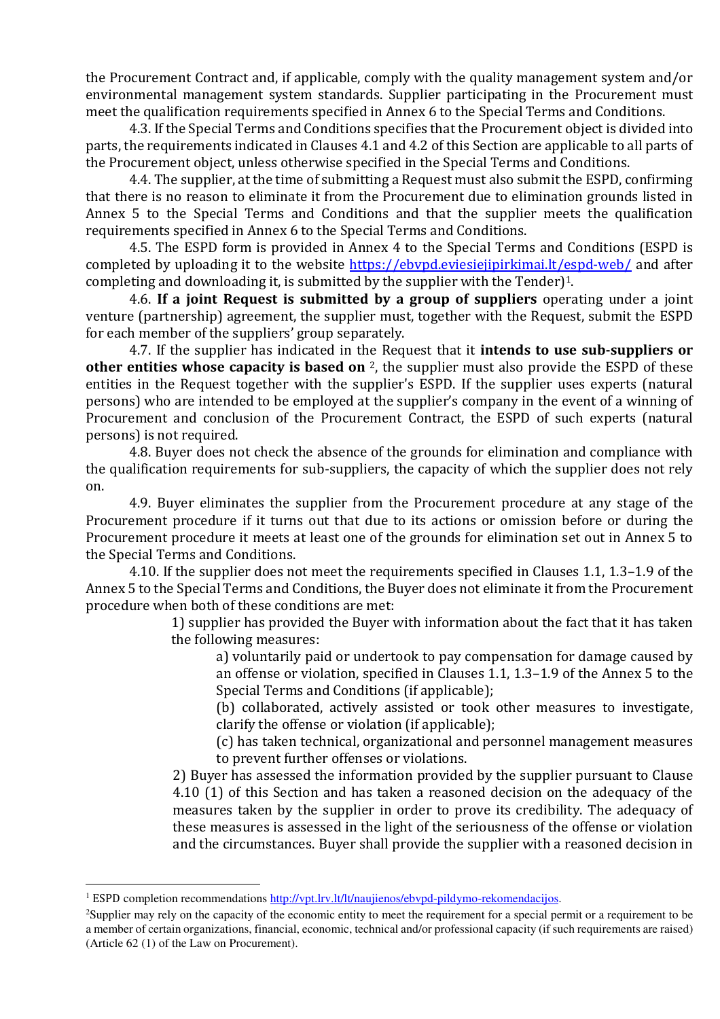the Procurement Contract and, if applicable, comply with the quality management system and/or environmental management system standards. Supplier participating in the Procurement must meet the qualification requirements specified in Annex 6 to the Special Terms and Conditions.

4.3. If the Special Terms and Conditions specifies that the Procurement object is divided into parts, the requirements indicated in Clauses 4.1 and 4.2 of this Section are applicable to all parts of the Procurement object, unless otherwise specified in the Special Terms and Conditions.

4.4. The supplier, at the time of submitting a Request must also submit the ESPD, confirming that there is no reason to eliminate it from the Procurement due to elimination grounds listed in Annex 5 to the Special Terms and Conditions and that the supplier meets the qualification requirements specified in Annex 6 to the Special Terms and Conditions.

4.5. The ESPD form is provided in Annex 4 to the Special Terms and Conditions (ESPD is completed by uploading it to the website https://ebvpd.eviesiejipirkimai.lt/espd-web/ and after completing and downloading it, is submitted by the supplier with the Tender)1.

4.6. If a joint Request is submitted by a group of suppliers operating under a joint venture (partnership) agreement, the supplier must, together with the Request, submit the ESPD for each member of the suppliers' group separately.

4.7. If the supplier has indicated in the Request that it **intends to use sub-suppliers or** other entities whose capacity is based on  $2$ , the supplier must also provide the ESPD of these entities in the Request together with the supplier's ESPD. If the supplier uses experts (natural persons) who are intended to be employed at the supplier's company in the event of a winning of Procurement and conclusion of the Procurement Contract, the ESPD of such experts (natural persons) is not required.

4.8. Buyer does not check the absence of the grounds for elimination and compliance with the qualification requirements for sub-suppliers, the capacity of which the supplier does not rely on.

4.9. Buyer eliminates the supplier from the Procurement procedure at any stage of the Procurement procedure if it turns out that due to its actions or omission before or during the Procurement procedure it meets at least one of the grounds for elimination set out in Annex 5 to the Special Terms and Conditions.

4.10. If the supplier does not meet the requirements specified in Clauses 1.1, 1.3–1.9 of the Annex 5 to the Special Terms and Conditions, the Buyer does not eliminate it from the Procurement procedure when both of these conditions are met:

> 1) supplier has provided the Buyer with information about the fact that it has taken the following measures:

a) voluntarily paid or undertook to pay compensation for damage caused by an offense or violation, specified in Clauses 1.1, 1.3–1.9 of the Annex 5 to the Special Terms and Conditions (if applicable);

(b) collaborated, actively assisted or took other measures to investigate, clarify the offense or violation (if applicable);

(c) has taken technical, organizational and personnel management measures to prevent further offenses or violations.

2) Buyer has assessed the information provided by the supplier pursuant to Clause 4.10 (1) of this Section and has taken a reasoned decision on the adequacy of the measures taken by the supplier in order to prove its credibility. The adequacy of these measures is assessed in the light of the seriousness of the offense or violation and the circumstances. Buyer shall provide the supplier with a reasoned decision in

 $\overline{a}$ 

<sup>&</sup>lt;sup>1</sup> ESPD completion recommendations http://vpt.lrv.lt/lt/naujienos/ebvpd-pildymo-rekomendacijos.

<sup>&</sup>lt;sup>2</sup>Supplier may rely on the capacity of the economic entity to meet the requirement for a special permit or a requirement to be a member of certain organizations, financial, economic, technical and/or professional capacity (if such requirements are raised) (Article 62 (1) of the Law on Procurement).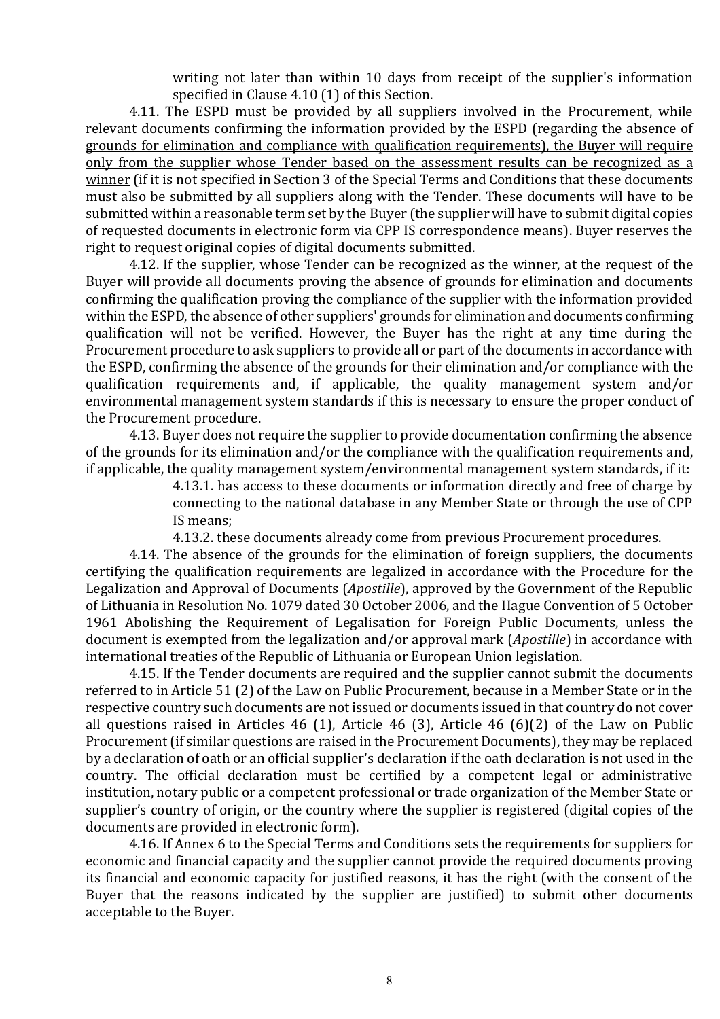writing not later than within 10 days from receipt of the supplier's information specified in Clause 4.10 (1) of this Section.

4.11. The ESPD must be provided by all suppliers involved in the Procurement, while relevant documents confirming the information provided by the ESPD (regarding the absence of grounds for elimination and compliance with qualification requirements), the Buyer will require only from the supplier whose Tender based on the assessment results can be recognized as a winner (if it is not specified in Section 3 of the Special Terms and Conditions that these documents must also be submitted by all suppliers along with the Tender. These documents will have to be submitted within a reasonable term set by the Buyer (the supplier will have to submit digital copies of requested documents in electronic form via CPP IS correspondence means). Buyer reserves the right to request original copies of digital documents submitted.

4.12. If the supplier, whose Tender can be recognized as the winner, at the request of the Buyer will provide all documents proving the absence of grounds for elimination and documents confirming the qualification proving the compliance of the supplier with the information provided within the ESPD, the absence of other suppliers' grounds for elimination and documents confirming qualification will not be verified. However, the Buyer has the right at any time during the Procurement procedure to ask suppliers to provide all or part of the documents in accordance with the ESPD, confirming the absence of the grounds for their elimination and/or compliance with the qualification requirements and, if applicable, the quality management system and/or environmental management system standards if this is necessary to ensure the proper conduct of the Procurement procedure.

4.13. Buyer does not require the supplier to provide documentation confirming the absence of the grounds for its elimination and/or the compliance with the qualification requirements and, if applicable, the quality management system/environmental management system standards, if it:

> 4.13.1. has access to these documents or information directly and free of charge by connecting to the national database in any Member State or through the use of CPP IS means;

4.13.2. these documents already come from previous Procurement procedures.

4.14. The absence of the grounds for the elimination of foreign suppliers, the documents certifying the qualification requirements are legalized in accordance with the Procedure for the Legalization and Approval of Documents (Apostille), approved by the Government of the Republic of Lithuania in Resolution No. 1079 dated 30 October 2006, and the Hague Convention of 5 October 1961 Abolishing the Requirement of Legalisation for Foreign Public Documents, unless the document is exempted from the legalization and/or approval mark (Apostille) in accordance with international treaties of the Republic of Lithuania or European Union legislation.

4.15. If the Tender documents are required and the supplier cannot submit the documents referred to in Article 51 (2) of the Law on Public Procurement, because in a Member State or in the respective country such documents are not issued or documents issued in that country do not cover all questions raised in Articles 46 (1), Article 46 (3), Article 46 (6)(2) of the Law on Public Procurement (if similar questions are raised in the Procurement Documents), they may be replaced by a declaration of oath or an official supplier's declaration if the oath declaration is not used in the country. The official declaration must be certified by a competent legal or administrative institution, notary public or a competent professional or trade organization of the Member State or supplier's country of origin, or the country where the supplier is registered (digital copies of the documents are provided in electronic form).

4.16. If Annex 6 to the Special Terms and Conditions sets the requirements for suppliers for economic and financial capacity and the supplier cannot provide the required documents proving its financial and economic capacity for justified reasons, it has the right (with the consent of the Buyer that the reasons indicated by the supplier are justified) to submit other documents acceptable to the Buyer.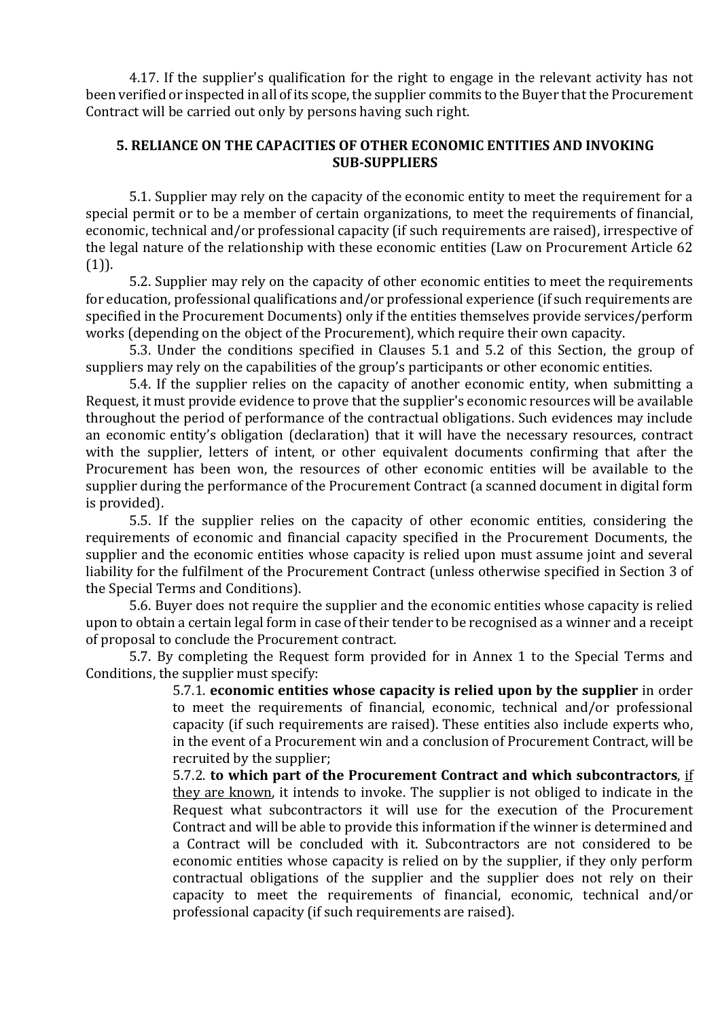4.17. If the supplier's qualification for the right to engage in the relevant activity has not been verified or inspected in all of its scope, the supplier commits to the Buyer that the Procurement Contract will be carried out only by persons having such right.

## 5. RELIANCE ON THE CAPACITIES OF OTHER ECONOMIC ENTITIES AND INVOKING SUB-SUPPLIERS

5.1. Supplier may rely on the capacity of the economic entity to meet the requirement for a special permit or to be a member of certain organizations, to meet the requirements of financial, economic, technical and/or professional capacity (if such requirements are raised), irrespective of the legal nature of the relationship with these economic entities (Law on Procurement Article 62  $(1)$ ).

5.2. Supplier may rely on the capacity of other economic entities to meet the requirements for education, professional qualifications and/or professional experience (if such requirements are specified in the Procurement Documents) only if the entities themselves provide services/perform works (depending on the object of the Procurement), which require their own capacity.

5.3. Under the conditions specified in Clauses 5.1 and 5.2 of this Section, the group of suppliers may rely on the capabilities of the group's participants or other economic entities.

5.4. If the supplier relies on the capacity of another economic entity, when submitting a Request, it must provide evidence to prove that the supplier's economic resources will be available throughout the period of performance of the contractual obligations. Such evidences may include an economic entity's obligation (declaration) that it will have the necessary resources, contract with the supplier, letters of intent, or other equivalent documents confirming that after the Procurement has been won, the resources of other economic entities will be available to the supplier during the performance of the Procurement Contract (a scanned document in digital form is provided).

5.5. If the supplier relies on the capacity of other economic entities, considering the requirements of economic and financial capacity specified in the Procurement Documents, the supplier and the economic entities whose capacity is relied upon must assume joint and several liability for the fulfilment of the Procurement Contract (unless otherwise specified in Section 3 of the Special Terms and Conditions).

5.6. Buyer does not require the supplier and the economic entities whose capacity is relied upon to obtain a certain legal form in case of their tender to be recognised as a winner and a receipt of proposal to conclude the Procurement contract.

5.7. By completing the Request form provided for in Annex 1 to the Special Terms and Conditions, the supplier must specify:

5.7.1. economic entities whose capacity is relied upon by the supplier in order to meet the requirements of financial, economic, technical and/or professional capacity (if such requirements are raised). These entities also include experts who, in the event of a Procurement win and a conclusion of Procurement Contract, will be recruited by the supplier;

5.7.2. to which part of the Procurement Contract and which subcontractors, if they are known, it intends to invoke. The supplier is not obliged to indicate in the Request what subcontractors it will use for the execution of the Procurement Contract and will be able to provide this information if the winner is determined and a Contract will be concluded with it. Subcontractors are not considered to be economic entities whose capacity is relied on by the supplier, if they only perform contractual obligations of the supplier and the supplier does not rely on their capacity to meet the requirements of financial, economic, technical and/or professional capacity (if such requirements are raised).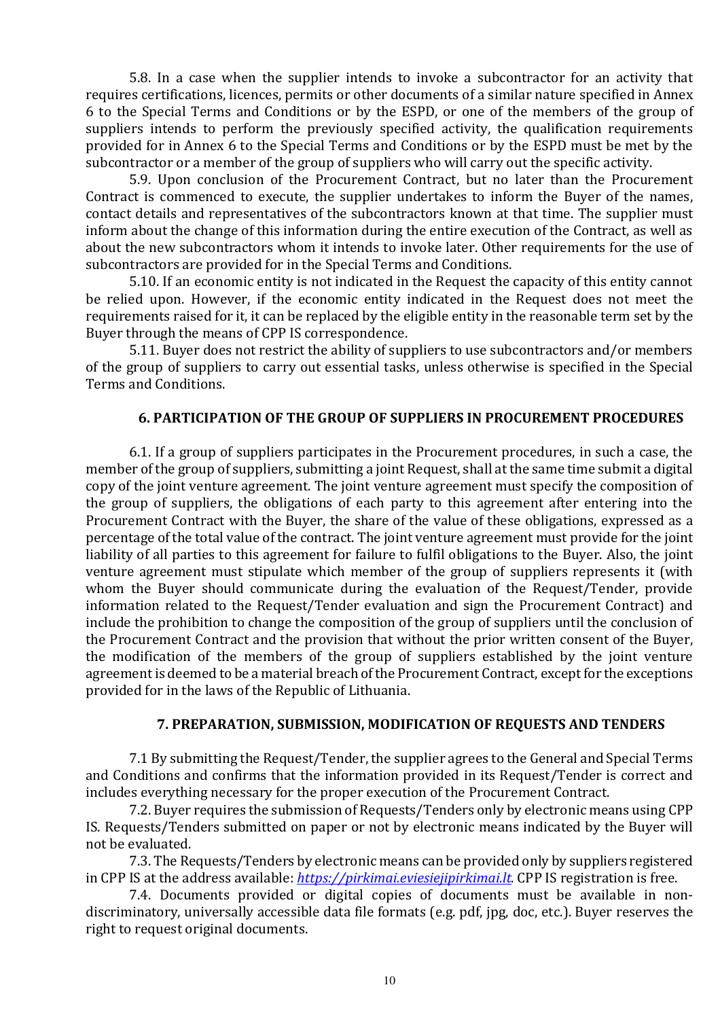5.8. In a case when the supplier intends to invoke a subcontractor for an activity that requires certifications, licences, permits or other documents of a similar nature specified in Annex 6 to the Special Terms and Conditions or by the ESPD, or one of the members of the group of suppliers intends to perform the previously specified activity, the qualification requirements provided for in Annex 6 to the Special Terms and Conditions or by the ESPD must be met by the subcontractor or a member of the group of suppliers who will carry out the specific activity.

5.9. Upon conclusion of the Procurement Contract, but no later than the Procurement Contract is commenced to execute, the supplier undertakes to inform the Buyer of the names, contact details and representatives of the subcontractors known at that time. The supplier must inform about the change of this information during the entire execution of the Contract, as well as about the new subcontractors whom it intends to invoke later. Other requirements for the use of subcontractors are provided for in the Special Terms and Conditions.

5.10. If an economic entity is not indicated in the Request the capacity of this entity cannot be relied upon. However, if the economic entity indicated in the Request does not meet the requirements raised for it, it can be replaced by the eligible entity in the reasonable term set by the Buyer through the means of CPP IS correspondence.

5.11. Buyer does not restrict the ability of suppliers to use subcontractors and/or members of the group of suppliers to carry out essential tasks, unless otherwise is specified in the Special Terms and Conditions.

## 6. PARTICIPATION OF THE GROUP OF SUPPLIERS IN PROCUREMENT PROCEDURES

6.1. If a group of suppliers participates in the Procurement procedures, in such a case, the member of the group of suppliers, submitting a joint Request, shall at the same time submit a digital copy of the joint venture agreement. The joint venture agreement must specify the composition of the group of suppliers, the obligations of each party to this agreement after entering into the Procurement Contract with the Buyer, the share of the value of these obligations, expressed as a percentage of the total value of the contract. The joint venture agreement must provide for the joint liability of all parties to this agreement for failure to fulfil obligations to the Buyer. Also, the joint venture agreement must stipulate which member of the group of suppliers represents it (with whom the Buyer should communicate during the evaluation of the Request/Tender, provide information related to the Request/Tender evaluation and sign the Procurement Contract) and include the prohibition to change the composition of the group of suppliers until the conclusion of the Procurement Contract and the provision that without the prior written consent of the Buyer, the modification of the members of the group of suppliers established by the joint venture agreement is deemed to be a material breach of the Procurement Contract, except for the exceptions provided for in the laws of the Republic of Lithuania.

#### 7. PREPARATION, SUBMISSION, MODIFICATION OF REQUESTS AND TENDERS

7.1 By submitting the Request/Tender, the supplier agrees to the General and Special Terms and Conditions and confirms that the information provided in its Request/Tender is correct and includes everything necessary for the proper execution of the Procurement Contract.

7.2. Buyer requires the submission of Requests/Tenders only by electronic means using CPP IS. Requests/Tenders submitted on paper or not by electronic means indicated by the Buyer will not be evaluated.

7.3. The Requests/Tenders by electronic means can be provided only by suppliers registered in CPP IS at the address available: https://pirkimai.eviesiejipirkimai.lt. CPP IS registration is free.

7.4. Documents provided or digital copies of documents must be available in nondiscriminatory, universally accessible data file formats (e.g. pdf, jpg, doc, etc.). Buyer reserves the right to request original documents.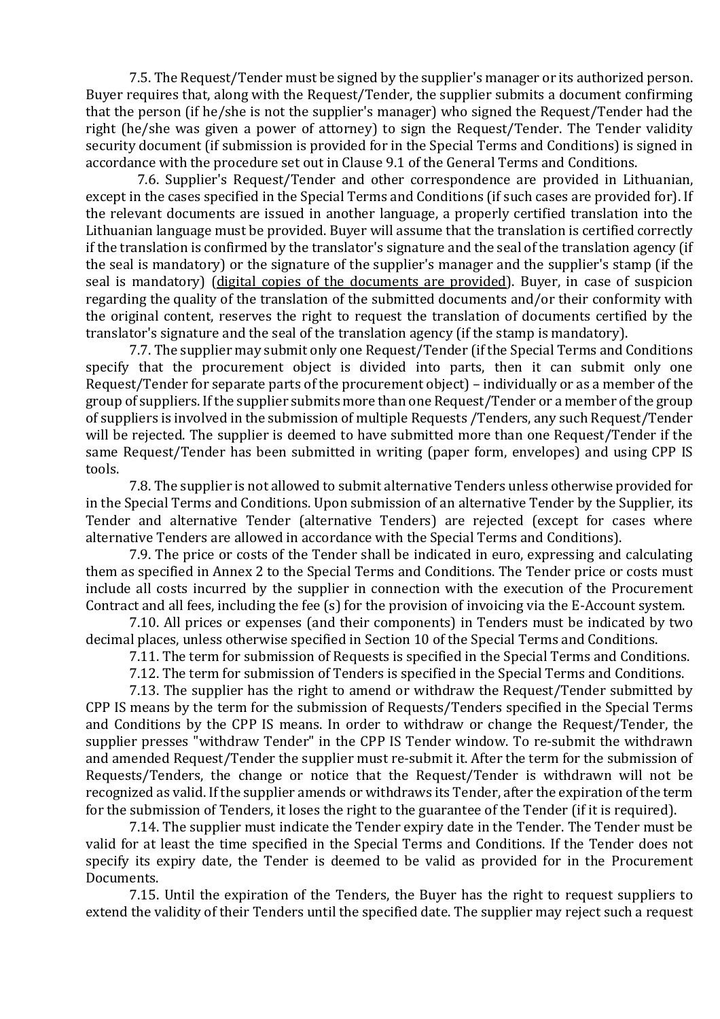7.5. The Request/Tender must be signed by the supplier's manager or its authorized person. Buyer requires that, along with the Request/Tender, the supplier submits a document confirming that the person (if he/she is not the supplier's manager) who signed the Request/Tender had the right (he/she was given a power of attorney) to sign the Request/Tender. The Tender validity security document (if submission is provided for in the Special Terms and Conditions) is signed in accordance with the procedure set out in Clause 9.1 of the General Terms and Conditions.

7.6. Supplier's Request/Tender and other correspondence are provided in Lithuanian, except in the cases specified in the Special Terms and Conditions (if such cases are provided for). If the relevant documents are issued in another language, a properly certified translation into the Lithuanian language must be provided. Buyer will assume that the translation is certified correctly if the translation is confirmed by the translator's signature and the seal of the translation agency (if the seal is mandatory) or the signature of the supplier's manager and the supplier's stamp (if the seal is mandatory) (digital copies of the documents are provided). Buyer, in case of suspicion regarding the quality of the translation of the submitted documents and/or their conformity with the original content, reserves the right to request the translation of documents certified by the translator's signature and the seal of the translation agency (if the stamp is mandatory).

7.7. The supplier may submit only one Request/Tender (if the Special Terms and Conditions specify that the procurement object is divided into parts, then it can submit only one Request/Tender for separate parts of the procurement object) – individually or as a member of the group of suppliers. If the supplier submits more than one Request/Tender or a member of the group of suppliers is involved in the submission of multiple Requests /Tenders, any such Request/Tender will be rejected. The supplier is deemed to have submitted more than one Request/Tender if the same Request/Tender has been submitted in writing (paper form, envelopes) and using CPP IS tools.

7.8. The supplier is not allowed to submit alternative Tenders unless otherwise provided for in the Special Terms and Conditions. Upon submission of an alternative Tender by the Supplier, its Tender and alternative Tender (alternative Tenders) are rejected (except for cases where alternative Tenders are allowed in accordance with the Special Terms and Conditions).

7.9. The price or costs of the Tender shall be indicated in euro, expressing and calculating them as specified in Annex 2 to the Special Terms and Conditions. The Tender price or costs must include all costs incurred by the supplier in connection with the execution of the Procurement Contract and all fees, including the fee (s) for the provision of invoicing via the E-Account system.

7.10. All prices or expenses (and their components) in Tenders must be indicated by two decimal places, unless otherwise specified in Section 10 of the Special Terms and Conditions.

7.11. The term for submission of Requests is specified in the Special Terms and Conditions.

7.12. The term for submission of Tenders is specified in the Special Terms and Conditions.

7.13. The supplier has the right to amend or withdraw the Request/Tender submitted by CPP IS means by the term for the submission of Requests/Tenders specified in the Special Terms and Conditions by the CPP IS means. In order to withdraw or change the Request/Tender, the supplier presses "withdraw Tender" in the CPP IS Tender window. To re-submit the withdrawn and amended Request/Tender the supplier must re-submit it. After the term for the submission of Requests/Tenders, the change or notice that the Request/Tender is withdrawn will not be recognized as valid. If the supplier amends or withdraws its Tender, after the expiration of the term for the submission of Tenders, it loses the right to the guarantee of the Tender (if it is required).

7.14. The supplier must indicate the Tender expiry date in the Tender. The Tender must be valid for at least the time specified in the Special Terms and Conditions. If the Tender does not specify its expiry date, the Tender is deemed to be valid as provided for in the Procurement Documents.

7.15. Until the expiration of the Tenders, the Buyer has the right to request suppliers to extend the validity of their Tenders until the specified date. The supplier may reject such a request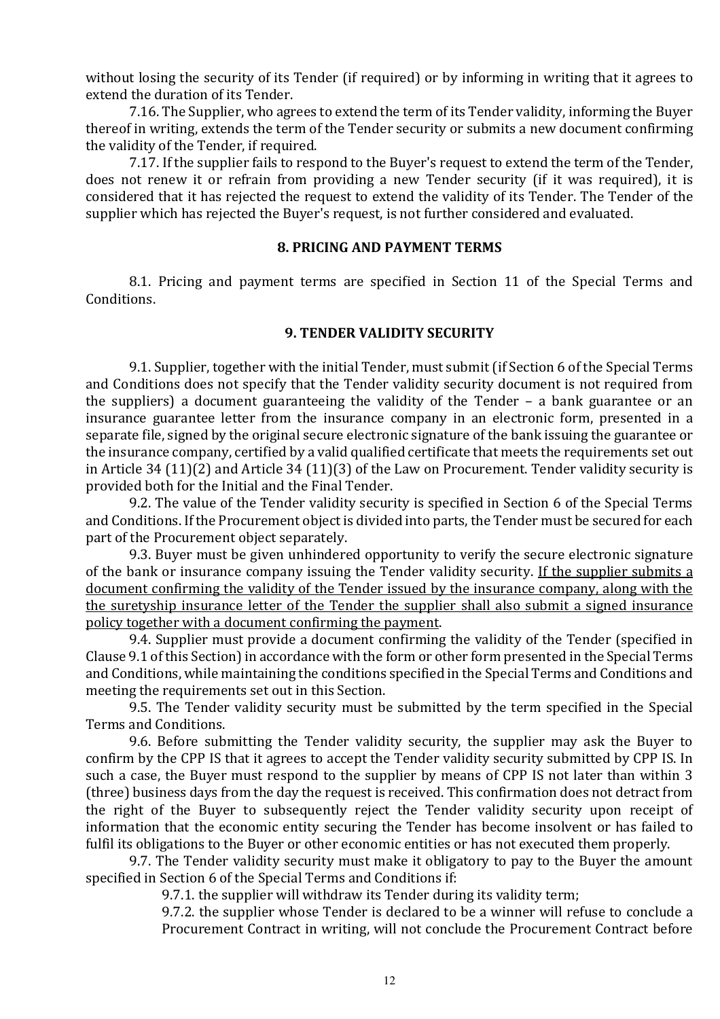without losing the security of its Tender (if required) or by informing in writing that it agrees to extend the duration of its Tender.

7.16. The Supplier, who agrees to extend the term of its Tender validity, informing the Buyer thereof in writing, extends the term of the Tender security or submits a new document confirming the validity of the Tender, if required.

7.17. If the supplier fails to respond to the Buyer's request to extend the term of the Tender, does not renew it or refrain from providing a new Tender security (if it was required), it is considered that it has rejected the request to extend the validity of its Tender. The Tender of the supplier which has rejected the Buyer's request, is not further considered and evaluated.

### 8. PRICING AND PAYMENT TERMS

8.1. Pricing and payment terms are specified in Section 11 of the Special Terms and Conditions.

#### 9. TENDER VALIDITY SECURITY

9.1. Supplier, together with the initial Tender, must submit (if Section 6 of the Special Terms and Conditions does not specify that the Tender validity security document is not required from the suppliers) a document guaranteeing the validity of the Tender – a bank guarantee or an insurance guarantee letter from the insurance company in an electronic form, presented in a separate file, signed by the original secure electronic signature of the bank issuing the guarantee or the insurance company, certified by a valid qualified certificate that meets the requirements set out in Article 34 (11)(2) and Article 34 (11)(3) of the Law on Procurement. Tender validity security is provided both for the Initial and the Final Tender.

9.2. The value of the Tender validity security is specified in Section 6 of the Special Terms and Conditions. If the Procurement object is divided into parts, the Tender must be secured for each part of the Procurement object separately.

9.3. Buyer must be given unhindered opportunity to verify the secure electronic signature of the bank or insurance company issuing the Tender validity security. If the supplier submits a document confirming the validity of the Tender issued by the insurance company, along with the the suretyship insurance letter of the Tender the supplier shall also submit a signed insurance policy together with a document confirming the payment.

9.4. Supplier must provide a document confirming the validity of the Tender (specified in Clause 9.1 of this Section) in accordance with the form or other form presented in the Special Terms and Conditions, while maintaining the conditions specified in the Special Terms and Conditions and meeting the requirements set out in this Section.

9.5. The Tender validity security must be submitted by the term specified in the Special Terms and Conditions.

9.6. Before submitting the Tender validity security, the supplier may ask the Buyer to confirm by the CPP IS that it agrees to accept the Tender validity security submitted by CPP IS. In such a case, the Buyer must respond to the supplier by means of CPP IS not later than within 3 (three) business days from the day the request is received. This confirmation does not detract from the right of the Buyer to subsequently reject the Tender validity security upon receipt of information that the economic entity securing the Tender has become insolvent or has failed to fulfil its obligations to the Buyer or other economic entities or has not executed them properly.

9.7. The Tender validity security must make it obligatory to pay to the Buyer the amount specified in Section 6 of the Special Terms and Conditions if:

9.7.1. the supplier will withdraw its Tender during its validity term;

9.7.2. the supplier whose Tender is declared to be a winner will refuse to conclude a Procurement Contract in writing, will not conclude the Procurement Contract before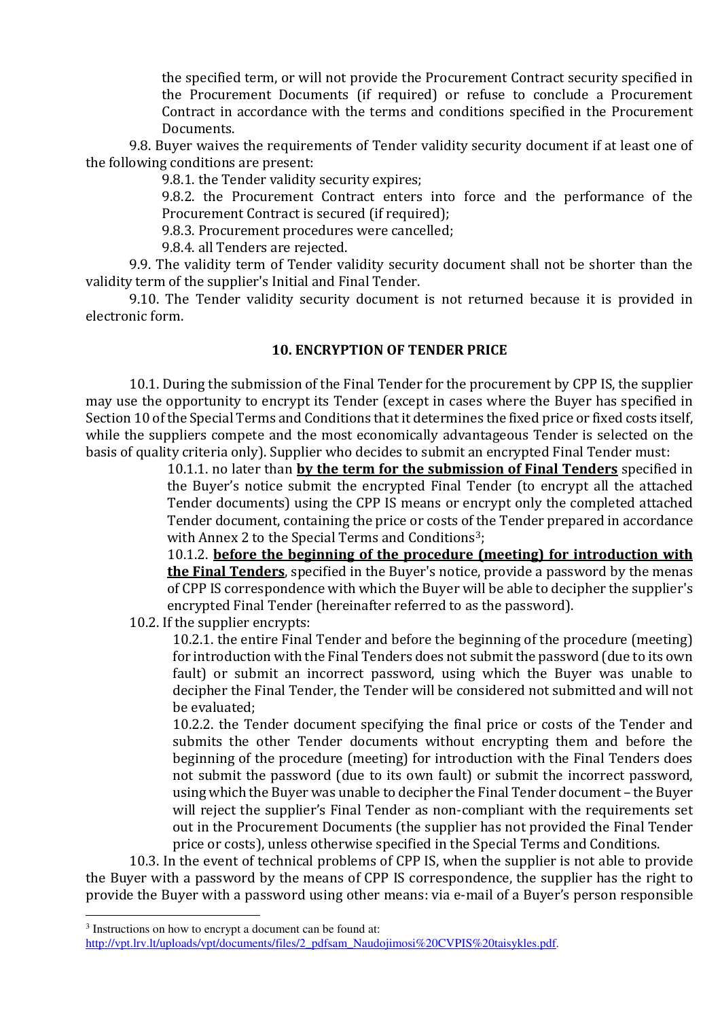the specified term, or will not provide the Procurement Contract security specified in the Procurement Documents (if required) or refuse to conclude a Procurement Contract in accordance with the terms and conditions specified in the Procurement Documents.

9.8. Buyer waives the requirements of Tender validity security document if at least one of the following conditions are present:

9.8.1. the Tender validity security expires;

9.8.2. the Procurement Contract enters into force and the performance of the Procurement Contract is secured (if required);

9.8.3. Procurement procedures were cancelled;

9.8.4. all Tenders are rejected.

9.9. The validity term of Tender validity security document shall not be shorter than the validity term of the supplier's Initial and Final Tender.

9.10. The Tender validity security document is not returned because it is provided in electronic form.

### 10. ENCRYPTION OF TENDER PRICE

10.1. During the submission of the Final Tender for the procurement by CPP IS, the supplier may use the opportunity to encrypt its Tender (except in cases where the Buyer has specified in Section 10 of the Special Terms and Conditions that it determines the fixed price or fixed costs itself, while the suppliers compete and the most economically advantageous Tender is selected on the basis of quality criteria only). Supplier who decides to submit an encrypted Final Tender must:

> 10.1.1. no later than by the term for the submission of Final Tenders specified in the Buyer's notice submit the encrypted Final Tender (to encrypt all the attached Tender documents) using the CPP IS means or encrypt only the completed attached Tender document, containing the price or costs of the Tender prepared in accordance with Annex 2 to the Special Terms and Conditions<sup>3</sup>;

> 10.1.2. before the beginning of the procedure (meeting) for introduction with the Final Tenders, specified in the Buyer's notice, provide a password by the menas of CPP IS correspondence with which the Buyer will be able to decipher the supplier's encrypted Final Tender (hereinafter referred to as the password).

10.2. If the supplier encrypts:

10.2.1. the entire Final Tender and before the beginning of the procedure (meeting) for introduction with the Final Tenders does not submit the password (due to its own fault) or submit an incorrect password, using which the Buyer was unable to decipher the Final Tender, the Tender will be considered not submitted and will not be evaluated;

10.2.2. the Tender document specifying the final price or costs of the Tender and submits the other Tender documents without encrypting them and before the beginning of the procedure (meeting) for introduction with the Final Tenders does not submit the password (due to its own fault) or submit the incorrect password, using which the Buyer was unable to decipher the Final Tender document – the Buyer will reject the supplier's Final Tender as non-compliant with the requirements set out in the Procurement Documents (the supplier has not provided the Final Tender price or costs), unless otherwise specified in the Special Terms and Conditions.

10.3. In the event of technical problems of CPP IS, when the supplier is not able to provide the Buyer with a password by the means of CPP IS correspondence, the supplier has the right to provide the Buyer with a password using other means: via e-mail of a Buyer's person responsible

 $\overline{a}$ 

<sup>&</sup>lt;sup>3</sup> Instructions on how to encrypt a document can be found at:

http://vpt.lrv.lt/uploads/vpt/documents/files/2\_pdfsam\_Naudojimosi%20CVPIS%20taisykles.pdf.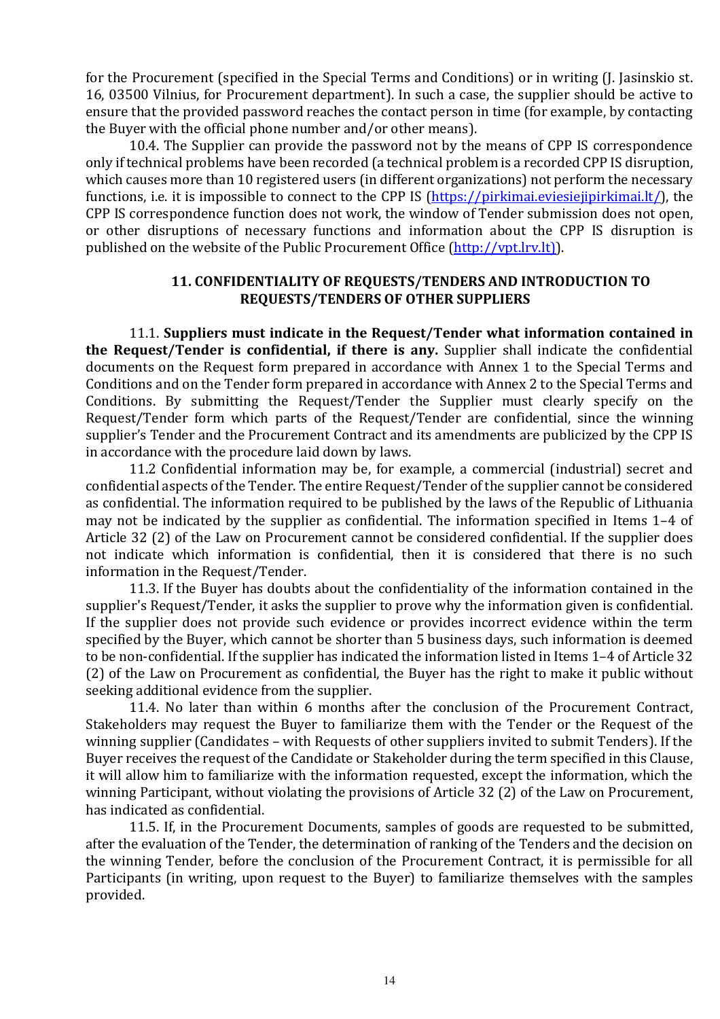for the Procurement (specified in the Special Terms and Conditions) or in writing (J. Jasinskio st. 16, 03500 Vilnius, for Procurement department). In such a case, the supplier should be active to ensure that the provided password reaches the contact person in time (for example, by contacting the Buyer with the official phone number and/or other means).

10.4. The Supplier can provide the password not by the means of CPP IS correspondence only if technical problems have been recorded (a technical problem is a recorded CPP IS disruption, which causes more than 10 registered users (in different organizations) not perform the necessary functions, i.e. it is impossible to connect to the CPP IS (https://pirkimai.eviesiejipirkimai.lt/), the CPP IS correspondence function does not work, the window of Tender submission does not open, or other disruptions of necessary functions and information about the CPP IS disruption is published on the website of the Public Procurement Office (http://vpt.lrv.lt).

### 11. CONFIDENTIALITY OF REQUESTS/TENDERS AND INTRODUCTION TO REQUESTS/TENDERS OF OTHER SUPPLIERS

11.1. Suppliers must indicate in the Request/Tender what information contained in the Request/Tender is confidential, if there is any. Supplier shall indicate the confidential documents on the Request form prepared in accordance with Annex 1 to the Special Terms and Conditions and on the Tender form prepared in accordance with Annex 2 to the Special Terms and Conditions. By submitting the Request/Tender the Supplier must clearly specify on the Request/Tender form which parts of the Request/Tender are confidential, since the winning supplier's Tender and the Procurement Contract and its amendments are publicized by the CPP IS in accordance with the procedure laid down by laws.

11.2 Confidential information may be, for example, a commercial (industrial) secret and confidential aspects of the Tender. The entire Request/Tender of the supplier cannot be considered as confidential. The information required to be published by the laws of the Republic of Lithuania may not be indicated by the supplier as confidential. The information specified in Items 1–4 of Article 32 (2) of the Law on Procurement cannot be considered confidential. If the supplier does not indicate which information is confidential, then it is considered that there is no such information in the Request/Tender.

11.3. If the Buyer has doubts about the confidentiality of the information contained in the supplier's Request/Tender, it asks the supplier to prove why the information given is confidential. If the supplier does not provide such evidence or provides incorrect evidence within the term specified by the Buyer, which cannot be shorter than 5 business days, such information is deemed to be non-confidential. If the supplier has indicated the information listed in Items 1–4 of Article 32 (2) of the Law on Procurement as confidential, the Buyer has the right to make it public without seeking additional evidence from the supplier.

11.4. No later than within 6 months after the conclusion of the Procurement Contract, Stakeholders may request the Buyer to familiarize them with the Tender or the Request of the winning supplier (Candidates – with Requests of other suppliers invited to submit Tenders). If the Buyer receives the request of the Candidate or Stakeholder during the term specified in this Clause, it will allow him to familiarize with the information requested, except the information, which the winning Participant, without violating the provisions of Article 32 (2) of the Law on Procurement, has indicated as confidential.

11.5. If, in the Procurement Documents, samples of goods are requested to be submitted, after the evaluation of the Tender, the determination of ranking of the Tenders and the decision on the winning Tender, before the conclusion of the Procurement Contract, it is permissible for all Participants (in writing, upon request to the Buyer) to familiarize themselves with the samples provided.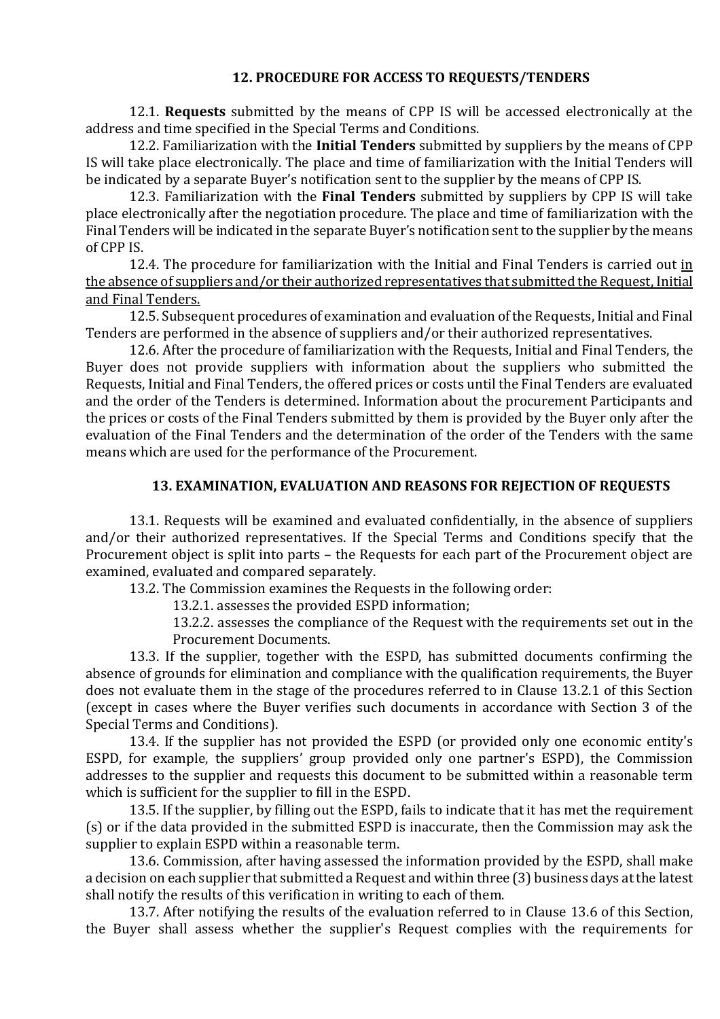### 12. PROCEDURE FOR ACCESS TO REQUESTS/TENDERS

12.1. Requests submitted by the means of CPP IS will be accessed electronically at the address and time specified in the Special Terms and Conditions.

12.2. Familiarization with the **Initial Tenders** submitted by suppliers by the means of CPP IS will take place electronically. The place and time of familiarization with the Initial Tenders will be indicated by a separate Buyer's notification sent to the supplier by the means of CPP IS.

12.3. Familiarization with the Final Tenders submitted by suppliers by CPP IS will take place electronically after the negotiation procedure. The place and time of familiarization with the Final Tenders will be indicated in the separate Buyer's notification sent to the supplier by the means of CPP IS.

12.4. The procedure for familiarization with the Initial and Final Tenders is carried out in the absence of suppliers and/or their authorized representatives that submitted the Request, Initial and Final Tenders.

12.5. Subsequent procedures of examination and evaluation of the Requests, Initial and Final Tenders are performed in the absence of suppliers and/or their authorized representatives.

12.6. After the procedure of familiarization with the Requests, Initial and Final Tenders, the Buyer does not provide suppliers with information about the suppliers who submitted the Requests, Initial and Final Tenders, the offered prices or costs until the Final Tenders are evaluated and the order of the Tenders is determined. Information about the procurement Participants and the prices or costs of the Final Tenders submitted by them is provided by the Buyer only after the evaluation of the Final Tenders and the determination of the order of the Tenders with the same means which are used for the performance of the Procurement.

### 13. EXAMINATION, EVALUATION AND REASONS FOR REJECTION OF REQUESTS

13.1. Requests will be examined and evaluated confidentially, in the absence of suppliers and/or their authorized representatives. If the Special Terms and Conditions specify that the Procurement object is split into parts – the Requests for each part of the Procurement object are examined, evaluated and compared separately.

13.2. The Commission examines the Requests in the following order:

13.2.1. assesses the provided ESPD information;

13.2.2. assesses the compliance of the Request with the requirements set out in the Procurement Documents.

13.3. If the supplier, together with the ESPD, has submitted documents confirming the absence of grounds for elimination and compliance with the qualification requirements, the Buyer does not evaluate them in the stage of the procedures referred to in Clause 13.2.1 of this Section (except in cases where the Buyer verifies such documents in accordance with Section 3 of the Special Terms and Conditions).

13.4. If the supplier has not provided the ESPD (or provided only one economic entity's ESPD, for example, the suppliers' group provided only one partner's ESPD), the Commission addresses to the supplier and requests this document to be submitted within a reasonable term which is sufficient for the supplier to fill in the ESPD.

13.5. If the supplier, by filling out the ESPD, fails to indicate that it has met the requirement (s) or if the data provided in the submitted ESPD is inaccurate, then the Commission may ask the supplier to explain ESPD within a reasonable term.

13.6. Commission, after having assessed the information provided by the ESPD, shall make a decision on each supplier that submitted a Request and within three (3) business days at the latest shall notify the results of this verification in writing to each of them.

13.7. After notifying the results of the evaluation referred to in Clause 13.6 of this Section, the Buyer shall assess whether the supplier's Request complies with the requirements for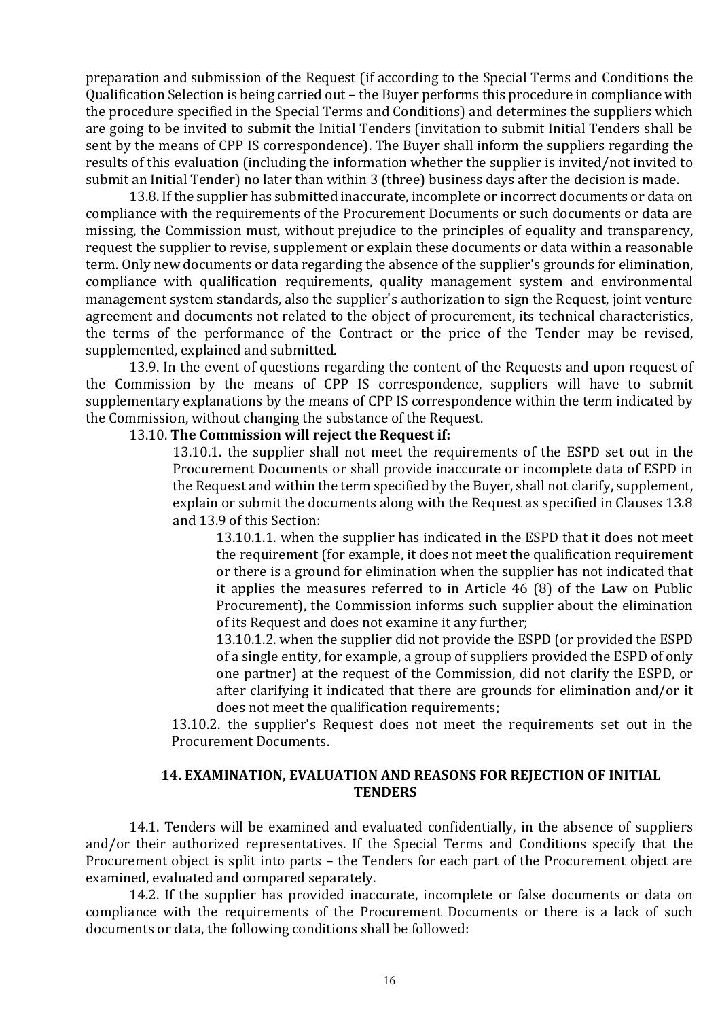preparation and submission of the Request (if according to the Special Terms and Conditions the Qualification Selection is being carried out – the Buyer performs this procedure in compliance with the procedure specified in the Special Terms and Conditions) and determines the suppliers which are going to be invited to submit the Initial Tenders (invitation to submit Initial Tenders shall be sent by the means of CPP IS correspondence). The Buyer shall inform the suppliers regarding the results of this evaluation (including the information whether the supplier is invited/not invited to submit an Initial Tender) no later than within 3 (three) business days after the decision is made.

13.8. If the supplier has submitted inaccurate, incomplete or incorrect documents or data on compliance with the requirements of the Procurement Documents or such documents or data are missing, the Commission must, without prejudice to the principles of equality and transparency, request the supplier to revise, supplement or explain these documents or data within a reasonable term. Only new documents or data regarding the absence of the supplier's grounds for elimination, compliance with qualification requirements, quality management system and environmental management system standards, also the supplier's authorization to sign the Request, joint venture agreement and documents not related to the object of procurement, its technical characteristics, the terms of the performance of the Contract or the price of the Tender may be revised, supplemented, explained and submitted.

13.9. In the event of questions regarding the content of the Requests and upon request of the Commission by the means of CPP IS correspondence, suppliers will have to submit supplementary explanations by the means of CPP IS correspondence within the term indicated by the Commission, without changing the substance of the Request.

#### 13.10. The Commission will reject the Request if:

13.10.1. the supplier shall not meet the requirements of the ESPD set out in the Procurement Documents or shall provide inaccurate or incomplete data of ESPD in the Request and within the term specified by the Buyer, shall not clarify, supplement, explain or submit the documents along with the Request as specified in Clauses 13.8 and 13.9 of this Section:

13.10.1.1. when the supplier has indicated in the ESPD that it does not meet the requirement (for example, it does not meet the qualification requirement or there is a ground for elimination when the supplier has not indicated that it applies the measures referred to in Article 46 (8) of the Law on Public Procurement), the Commission informs such supplier about the elimination of its Request and does not examine it any further;

13.10.1.2. when the supplier did not provide the ESPD (or provided the ESPD of a single entity, for example, a group of suppliers provided the ESPD of only one partner) at the request of the Commission, did not clarify the ESPD, or after clarifying it indicated that there are grounds for elimination and/or it does not meet the qualification requirements;

 13.10.2. the supplier's Request does not meet the requirements set out in the Procurement Documents.

#### 14. EXAMINATION, EVALUATION AND REASONS FOR REJECTION OF INITIAL TENDERS

14.1. Tenders will be examined and evaluated confidentially, in the absence of suppliers and/or their authorized representatives. If the Special Terms and Conditions specify that the Procurement object is split into parts – the Tenders for each part of the Procurement object are examined, evaluated and compared separately.

14.2. If the supplier has provided inaccurate, incomplete or false documents or data on compliance with the requirements of the Procurement Documents or there is a lack of such documents or data, the following conditions shall be followed: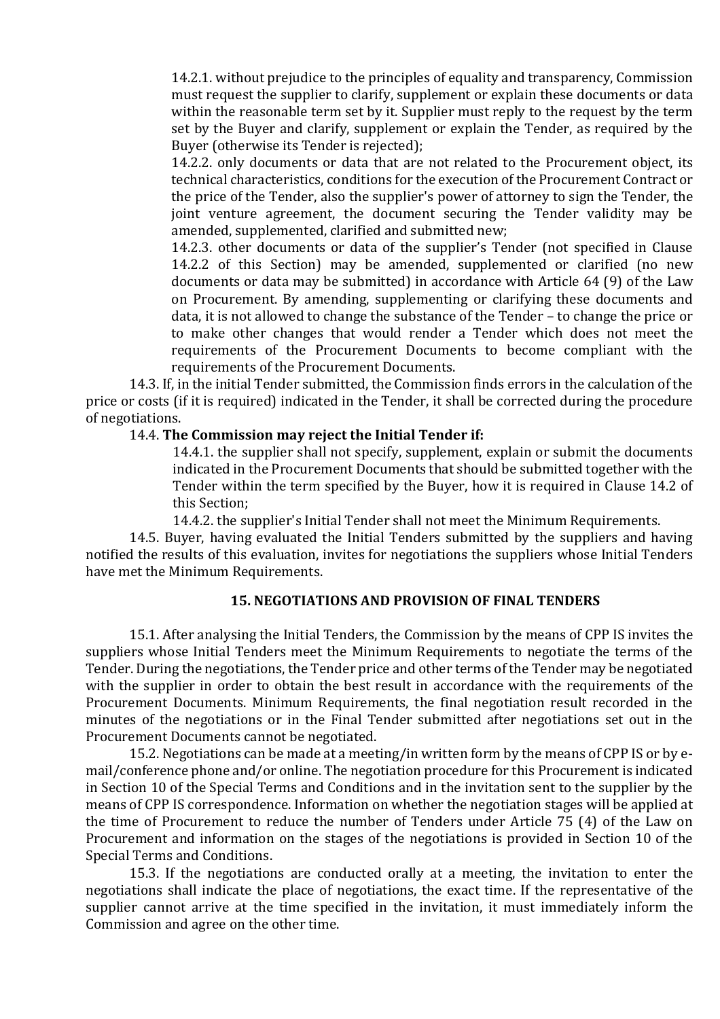14.2.1. without prejudice to the principles of equality and transparency, Commission must request the supplier to clarify, supplement or explain these documents or data within the reasonable term set by it. Supplier must reply to the request by the term set by the Buyer and clarify, supplement or explain the Tender, as required by the Buyer (otherwise its Tender is rejected);

14.2.2. only documents or data that are not related to the Procurement object, its technical characteristics, conditions for the execution of the Procurement Contract or the price of the Tender, also the supplier's power of attorney to sign the Tender, the joint venture agreement, the document securing the Tender validity may be amended, supplemented, clarified and submitted new;

14.2.3. other documents or data of the supplier's Tender (not specified in Clause 14.2.2 of this Section) may be amended, supplemented or clarified (no new documents or data may be submitted) in accordance with Article 64 (9) of the Law on Procurement. By amending, supplementing or clarifying these documents and data, it is not allowed to change the substance of the Tender – to change the price or to make other changes that would render a Tender which does not meet the requirements of the Procurement Documents to become compliant with the requirements of the Procurement Documents.

14.3. If, in the initial Tender submitted, the Commission finds errors in the calculation of the price or costs (if it is required) indicated in the Tender, it shall be corrected during the procedure of negotiations.

#### 14.4. The Commission may reject the Initial Tender if:

14.4.1. the supplier shall not specify, supplement, explain or submit the documents indicated in the Procurement Documents that should be submitted together with the Tender within the term specified by the Buyer, how it is required in Clause 14.2 of this Section;

14.4.2. the supplier's Initial Tender shall not meet the Minimum Requirements.

14.5. Buyer, having evaluated the Initial Tenders submitted by the suppliers and having notified the results of this evaluation, invites for negotiations the suppliers whose Initial Tenders have met the Minimum Requirements.

#### 15. NEGOTIATIONS AND PROVISION OF FINAL TENDERS

15.1. After analysing the Initial Tenders, the Commission by the means of CPP IS invites the suppliers whose Initial Tenders meet the Minimum Requirements to negotiate the terms of the Tender. During the negotiations, the Tender price and other terms of the Tender may be negotiated with the supplier in order to obtain the best result in accordance with the requirements of the Procurement Documents. Minimum Requirements, the final negotiation result recorded in the minutes of the negotiations or in the Final Tender submitted after negotiations set out in the Procurement Documents cannot be negotiated.

15.2. Negotiations can be made at a meeting/in written form by the means of CPP IS or by email/conference phone and/or online. The negotiation procedure for this Procurement is indicated in Section 10 of the Special Terms and Conditions and in the invitation sent to the supplier by the means of CPP IS correspondence. Information on whether the negotiation stages will be applied at the time of Procurement to reduce the number of Tenders under Article 75 (4) of the Law on Procurement and information on the stages of the negotiations is provided in Section 10 of the Special Terms and Conditions.

15.3. If the negotiations are conducted orally at a meeting, the invitation to enter the negotiations shall indicate the place of negotiations, the exact time. If the representative of the supplier cannot arrive at the time specified in the invitation, it must immediately inform the Commission and agree on the other time.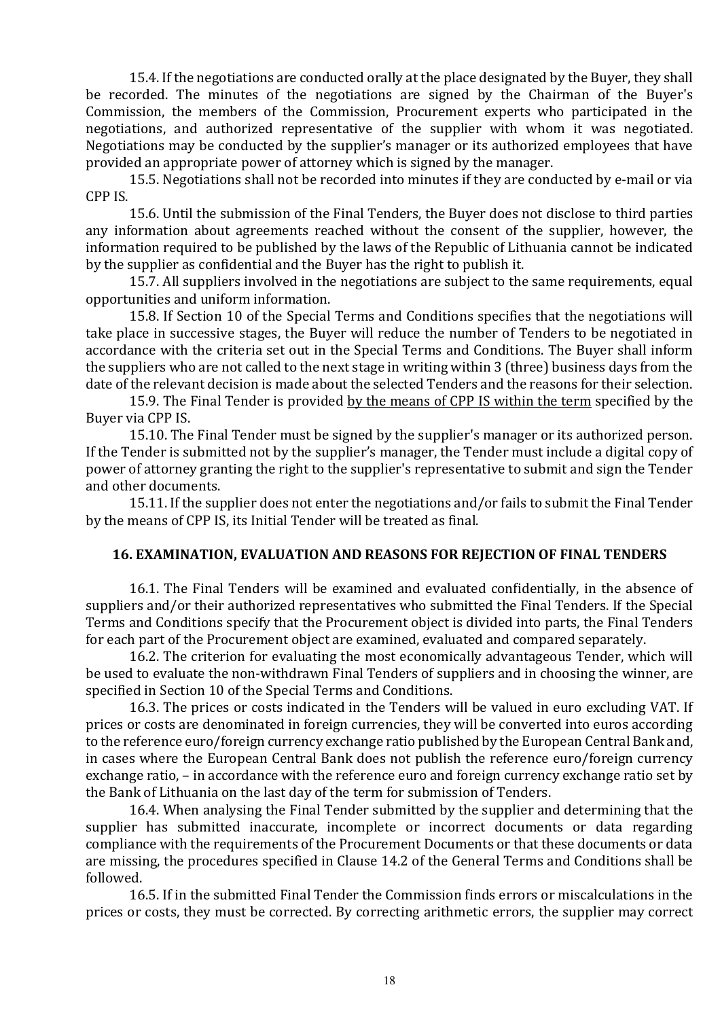15.4. If the negotiations are conducted orally at the place designated by the Buyer, they shall be recorded. The minutes of the negotiations are signed by the Chairman of the Buyer's Commission, the members of the Commission, Procurement experts who participated in the negotiations, and authorized representative of the supplier with whom it was negotiated. Negotiations may be conducted by the supplier's manager or its authorized employees that have provided an appropriate power of attorney which is signed by the manager.

15.5. Negotiations shall not be recorded into minutes if they are conducted by e-mail or via CPP IS.

15.6. Until the submission of the Final Tenders, the Buyer does not disclose to third parties any information about agreements reached without the consent of the supplier, however, the information required to be published by the laws of the Republic of Lithuania cannot be indicated by the supplier as confidential and the Buyer has the right to publish it.

15.7. All suppliers involved in the negotiations are subject to the same requirements, equal opportunities and uniform information.

15.8. If Section 10 of the Special Terms and Conditions specifies that the negotiations will take place in successive stages, the Buyer will reduce the number of Tenders to be negotiated in accordance with the criteria set out in the Special Terms and Conditions. The Buyer shall inform the suppliers who are not called to the next stage in writing within 3 (three) business days from the date of the relevant decision is made about the selected Tenders and the reasons for their selection.

15.9. The Final Tender is provided by the means of CPP IS within the term specified by the Buyer via CPP IS.

15.10. The Final Tender must be signed by the supplier's manager or its authorized person. If the Tender is submitted not by the supplier's manager, the Tender must include a digital copy of power of attorney granting the right to the supplier's representative to submit and sign the Tender and other documents.

15.11. If the supplier does not enter the negotiations and/or fails to submit the Final Tender by the means of CPP IS, its Initial Tender will be treated as final.

#### 16. EXAMINATION, EVALUATION AND REASONS FOR REJECTION OF FINAL TENDERS

16.1. The Final Tenders will be examined and evaluated confidentially, in the absence of suppliers and/or their authorized representatives who submitted the Final Tenders. If the Special Terms and Conditions specify that the Procurement object is divided into parts, the Final Tenders for each part of the Procurement object are examined, evaluated and compared separately.

16.2. The criterion for evaluating the most economically advantageous Tender, which will be used to evaluate the non-withdrawn Final Tenders of suppliers and in choosing the winner, are specified in Section 10 of the Special Terms and Conditions.

16.3. The prices or costs indicated in the Tenders will be valued in euro excluding VAT. If prices or costs are denominated in foreign currencies, they will be converted into euros according to the reference euro/foreign currency exchange ratio published by the European Central Bank and, in cases where the European Central Bank does not publish the reference euro/foreign currency exchange ratio, – in accordance with the reference euro and foreign currency exchange ratio set by the Bank of Lithuania on the last day of the term for submission of Tenders.

16.4. When analysing the Final Tender submitted by the supplier and determining that the supplier has submitted inaccurate, incomplete or incorrect documents or data regarding compliance with the requirements of the Procurement Documents or that these documents or data are missing, the procedures specified in Clause 14.2 of the General Terms and Conditions shall be followed.

16.5. If in the submitted Final Tender the Commission finds errors or miscalculations in the prices or costs, they must be corrected. By correcting arithmetic errors, the supplier may correct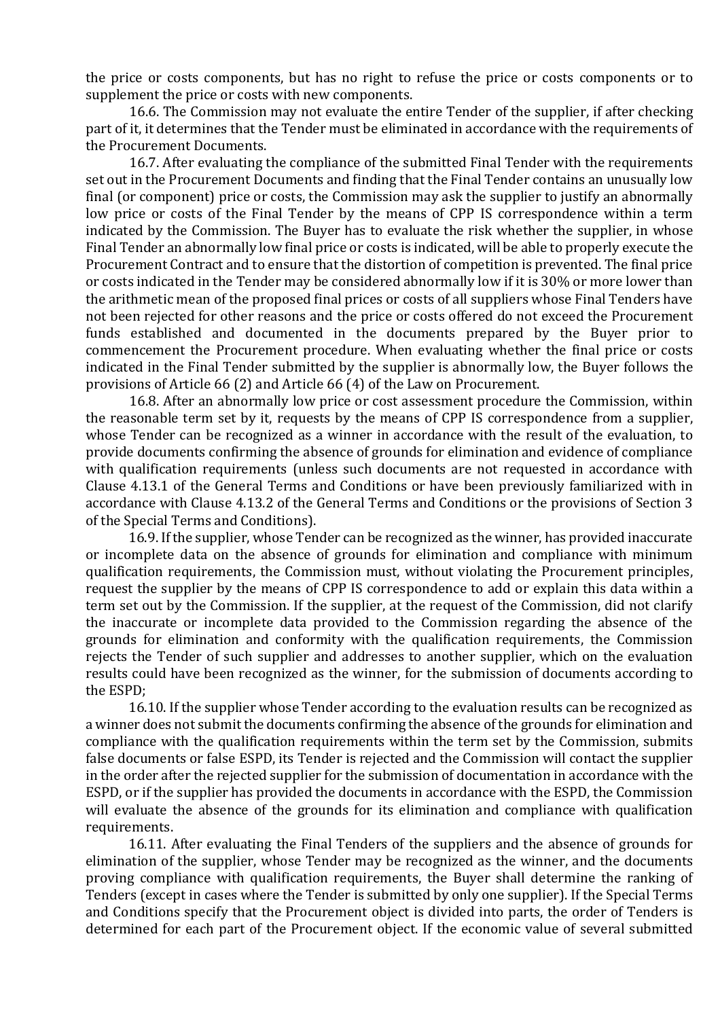the price or costs components, but has no right to refuse the price or costs components or to supplement the price or costs with new components.

16.6. The Commission may not evaluate the entire Tender of the supplier, if after checking part of it, it determines that the Tender must be eliminated in accordance with the requirements of the Procurement Documents.

16.7. After evaluating the compliance of the submitted Final Tender with the requirements set out in the Procurement Documents and finding that the Final Tender contains an unusually low final (or component) price or costs, the Commission may ask the supplier to justify an abnormally low price or costs of the Final Tender by the means of CPP IS correspondence within a term indicated by the Commission. The Buyer has to evaluate the risk whether the supplier, in whose Final Tender an abnormally low final price or costs is indicated, will be able to properly execute the Procurement Contract and to ensure that the distortion of competition is prevented. The final price or costs indicated in the Tender may be considered abnormally low if it is 30% or more lower than the arithmetic mean of the proposed final prices or costs of all suppliers whose Final Tenders have not been rejected for other reasons and the price or costs offered do not exceed the Procurement funds established and documented in the documents prepared by the Buyer prior to commencement the Procurement procedure. When evaluating whether the final price or costs indicated in the Final Tender submitted by the supplier is abnormally low, the Buyer follows the provisions of Article 66 (2) and Article 66 (4) of the Law on Procurement.

16.8. After an abnormally low price or cost assessment procedure the Commission, within the reasonable term set by it, requests by the means of CPP IS correspondence from a supplier, whose Tender can be recognized as a winner in accordance with the result of the evaluation, to provide documents confirming the absence of grounds for elimination and evidence of compliance with qualification requirements (unless such documents are not requested in accordance with Clause 4.13.1 of the General Terms and Conditions or have been previously familiarized with in accordance with Clause 4.13.2 of the General Terms and Conditions or the provisions of Section 3 of the Special Terms and Conditions).

16.9. If the supplier, whose Tender can be recognized as the winner, has provided inaccurate or incomplete data on the absence of grounds for elimination and compliance with minimum qualification requirements, the Commission must, without violating the Procurement principles, request the supplier by the means of CPP IS correspondence to add or explain this data within a term set out by the Commission. If the supplier, at the request of the Commission, did not clarify the inaccurate or incomplete data provided to the Commission regarding the absence of the grounds for elimination and conformity with the qualification requirements, the Commission rejects the Tender of such supplier and addresses to another supplier, which on the evaluation results could have been recognized as the winner, for the submission of documents according to the ESPD;

16.10. If the supplier whose Tender according to the evaluation results can be recognized as a winner does not submit the documents confirming the absence of the grounds for elimination and compliance with the qualification requirements within the term set by the Commission, submits false documents or false ESPD, its Tender is rejected and the Commission will contact the supplier in the order after the rejected supplier for the submission of documentation in accordance with the ESPD, or if the supplier has provided the documents in accordance with the ESPD, the Commission will evaluate the absence of the grounds for its elimination and compliance with qualification requirements.

16.11. After evaluating the Final Tenders of the suppliers and the absence of grounds for elimination of the supplier, whose Tender may be recognized as the winner, and the documents proving compliance with qualification requirements, the Buyer shall determine the ranking of Tenders (except in cases where the Tender is submitted by only one supplier). If the Special Terms and Conditions specify that the Procurement object is divided into parts, the order of Tenders is determined for each part of the Procurement object. If the economic value of several submitted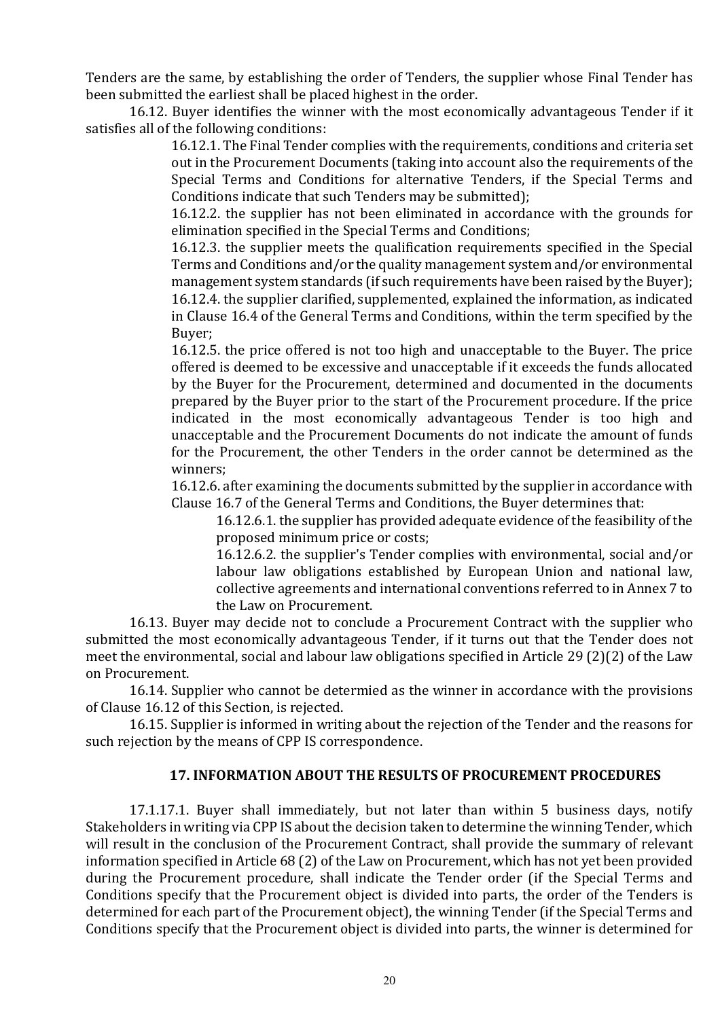Tenders are the same, by establishing the order of Tenders, the supplier whose Final Tender has been submitted the earliest shall be placed highest in the order.

16.12. Buyer identifies the winner with the most economically advantageous Tender if it satisfies all of the following conditions:

> 16.12.1. The Final Tender complies with the requirements, conditions and criteria set out in the Procurement Documents (taking into account also the requirements of the Special Terms and Conditions for alternative Tenders, if the Special Terms and Conditions indicate that such Tenders may be submitted);

> 16.12.2. the supplier has not been eliminated in accordance with the grounds for elimination specified in the Special Terms and Conditions;

> 16.12.3. the supplier meets the qualification requirements specified in the Special Terms and Conditions and/or the quality management system and/or environmental management system standards (if such requirements have been raised by the Buyer); 16.12.4. the supplier clarified, supplemented, explained the information, as indicated in Clause 16.4 of the General Terms and Conditions, within the term specified by the Buyer;

> 16.12.5. the price offered is not too high and unacceptable to the Buyer. The price offered is deemed to be excessive and unacceptable if it exceeds the funds allocated by the Buyer for the Procurement, determined and documented in the documents prepared by the Buyer prior to the start of the Procurement procedure. If the price indicated in the most economically advantageous Tender is too high and unacceptable and the Procurement Documents do not indicate the amount of funds for the Procurement, the other Tenders in the order cannot be determined as the winners;

> 16.12.6. after examining the documents submitted by the supplier in accordance with Clause 16.7 of the General Terms and Conditions, the Buyer determines that:

16.12.6.1. the supplier has provided adequate evidence of the feasibility of the proposed minimum price or costs;

16.12.6.2. the supplier's Tender complies with environmental, social and/or labour law obligations established by European Union and national law, collective agreements and international conventions referred to in Annex 7 to the Law on Procurement.

16.13. Buyer may decide not to conclude a Procurement Contract with the supplier who submitted the most economically advantageous Tender, if it turns out that the Tender does not meet the environmental, social and labour law obligations specified in Article 29 (2)(2) of the Law on Procurement.

16.14. Supplier who cannot be determied as the winner in accordance with the provisions of Clause 16.12 of this Section, is rejected.

16.15. Supplier is informed in writing about the rejection of the Tender and the reasons for such rejection by the means of CPP IS correspondence.

## 17. INFORMATION ABOUT THE RESULTS OF PROCUREMENT PROCEDURES

17.1.17.1. Buyer shall immediately, but not later than within 5 business days, notify Stakeholders in writing via CPP IS about the decision taken to determine the winning Tender, which will result in the conclusion of the Procurement Contract, shall provide the summary of relevant information specified in Article 68 (2) of the Law on Procurement, which has not yet been provided during the Procurement procedure, shall indicate the Tender order (if the Special Terms and Conditions specify that the Procurement object is divided into parts, the order of the Tenders is determined for each part of the Procurement object), the winning Tender (if the Special Terms and Conditions specify that the Procurement object is divided into parts, the winner is determined for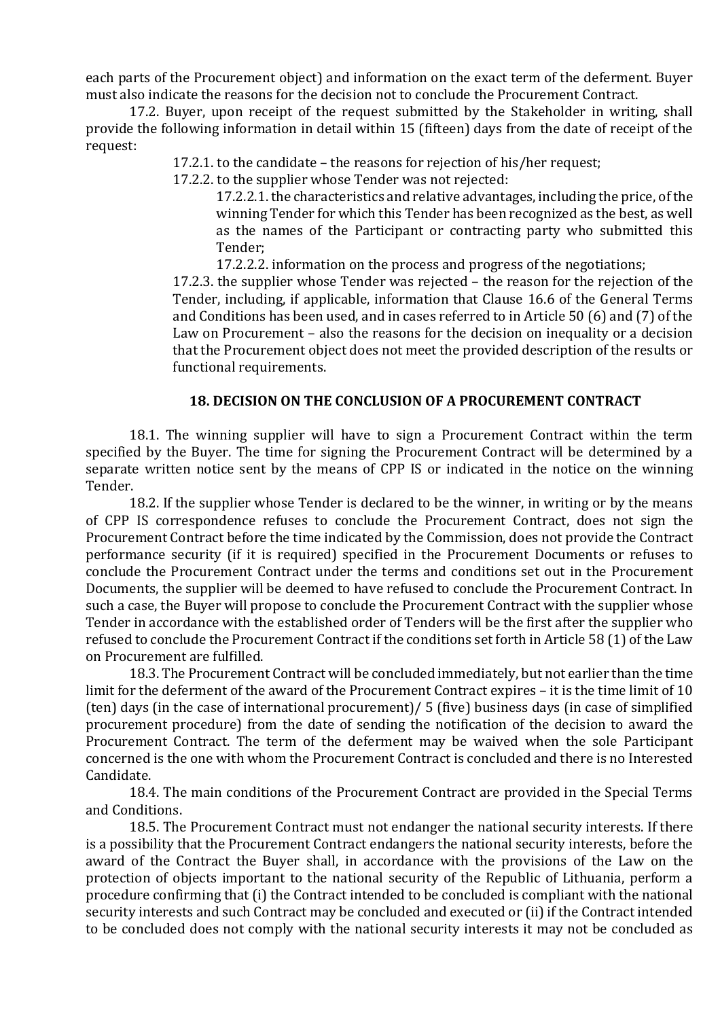each parts of the Procurement object) and information on the exact term of the deferment. Buyer must also indicate the reasons for the decision not to conclude the Procurement Contract.

17.2. Buyer, upon receipt of the request submitted by the Stakeholder in writing, shall provide the following information in detail within 15 (fifteen) days from the date of receipt of the request:

17.2.1. to the candidate – the reasons for rejection of his/her request;

17.2.2. to the supplier whose Tender was not rejected:

17.2.2.1. the characteristics and relative advantages, including the price, of the winning Tender for which this Tender has been recognized as the best, as well as the names of the Participant or contracting party who submitted this Tender;

17.2.2.2. information on the process and progress of the negotiations;

17.2.3. the supplier whose Tender was rejected – the reason for the rejection of the Tender, including, if applicable, information that Clause 16.6 of the General Terms and Conditions has been used, and in cases referred to in Article 50 (6) and (7) of the Law on Procurement – also the reasons for the decision on inequality or a decision that the Procurement object does not meet the provided description of the results or functional requirements.

#### 18. DECISION ON THE CONCLUSION OF A PROCUREMENT CONTRACT

18.1. The winning supplier will have to sign a Procurement Contract within the term specified by the Buyer. The time for signing the Procurement Contract will be determined by a separate written notice sent by the means of CPP IS or indicated in the notice on the winning Tender.

18.2. If the supplier whose Tender is declared to be the winner, in writing or by the means of CPP IS correspondence refuses to conclude the Procurement Contract, does not sign the Procurement Contract before the time indicated by the Commission, does not provide the Contract performance security (if it is required) specified in the Procurement Documents or refuses to conclude the Procurement Contract under the terms and conditions set out in the Procurement Documents, the supplier will be deemed to have refused to conclude the Procurement Contract. In such a case, the Buyer will propose to conclude the Procurement Contract with the supplier whose Tender in accordance with the established order of Tenders will be the first after the supplier who refused to conclude the Procurement Contract if the conditions set forth in Article 58 (1) of the Law on Procurement are fulfilled.

18.3. The Procurement Contract will be concluded immediately, but not earlier than the time limit for the deferment of the award of the Procurement Contract expires – it is the time limit of 10 (ten) days (in the case of international procurement)/ 5 (five) business days (in case of simplified procurement procedure) from the date of sending the notification of the decision to award the Procurement Contract. The term of the deferment may be waived when the sole Participant concerned is the one with whom the Procurement Contract is concluded and there is no Interested Candidate.

18.4. The main conditions of the Procurement Contract are provided in the Special Terms and Conditions.

18.5. The Procurement Contract must not endanger the national security interests. If there is a possibility that the Procurement Contract endangers the national security interests, before the award of the Contract the Buyer shall, in accordance with the provisions of the Law on the protection of objects important to the national security of the Republic of Lithuania, perform a procedure confirming that (i) the Contract intended to be concluded is compliant with the national security interests and such Contract may be concluded and executed or (ii) if the Contract intended to be concluded does not comply with the national security interests it may not be concluded as